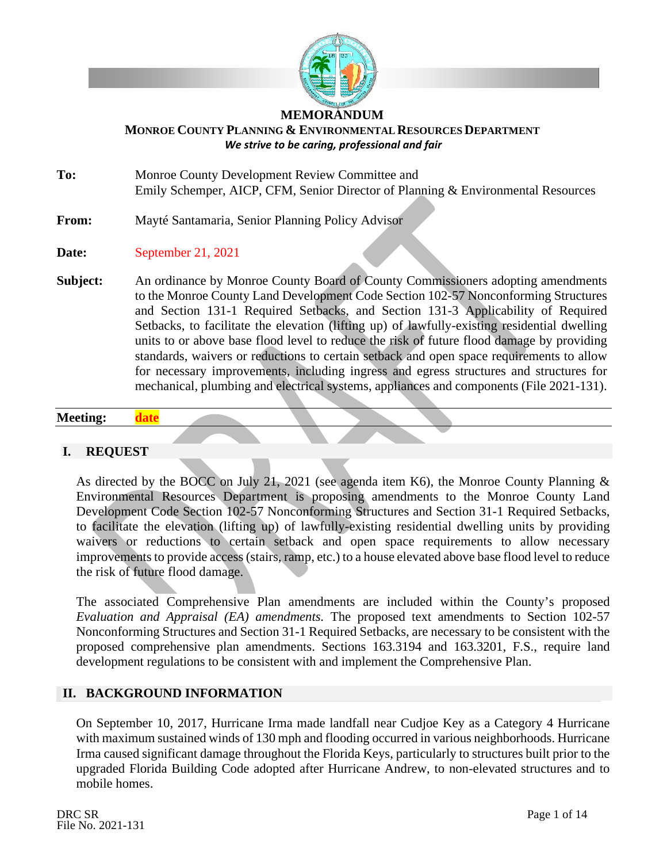

#### **MEMORANDUM**

#### **MONROE COUNTY PLANNING & ENVIRONMENTALRESOURCES DEPARTMENT** *We strive to be caring, professional and fair*

**To:** Monroe County Development Review Committee and Emily Schemper, AICP, CFM, Senior Director of Planning & Environmental Resources

## **From:** Mayté Santamaria, Senior Planning Policy Advisor

- **Date:** September 21, 2021
- **Subject:** An ordinance by Monroe County Board of County Commissioners adopting amendments to the Monroe County Land Development Code Section 102-57 Nonconforming Structures and Section 131-1 Required Setbacks, and Section 131-3 Applicability of Required Setbacks, to facilitate the elevation (lifting up) of lawfully-existing residential dwelling units to or above base flood level to reduce the risk of future flood damage by providing standards, waivers or reductions to certain setback and open space requirements to allow for necessary improvements, including ingress and egress structures and structures for mechanical, plumbing and electrical systems, appliances and components (File 2021-131).

#### **Meeting: date**

#### **I. REQUEST**

As directed by the BOCC on July 21, 2021 (see agenda item K6), the Monroe County Planning & Environmental Resources Department is proposing amendments to the Monroe County Land Development Code Section 102-57 Nonconforming Structures and Section 31-1 Required Setbacks, to facilitate the elevation (lifting up) of lawfully-existing residential dwelling units by providing waivers or reductions to certain setback and open space requirements to allow necessary improvements to provide access (stairs, ramp, etc.) to a house elevated above base flood level to reduce the risk of future flood damage.

The associated Comprehensive Plan amendments are included within the County's proposed *Evaluation and Appraisal (EA) amendments.* The proposed text amendments to Section 102-57 Nonconforming Structures and Section 31-1 Required Setbacks, are necessary to be consistent with the proposed comprehensive plan amendments. Sections 163.3194 and 163.3201, F.S., require land development regulations to be consistent with and implement the Comprehensive Plan.

#### **II. BACKGROUND INFORMATION**

On September 10, 2017, Hurricane Irma made landfall near Cudjoe Key as a Category 4 Hurricane with maximum sustained winds of 130 mph and flooding occurred in various neighborhoods. Hurricane Irma caused significant damage throughout the Florida Keys, particularly to structures built prior to the upgraded Florida Building Code adopted after Hurricane Andrew, to non-elevated structures and to mobile homes.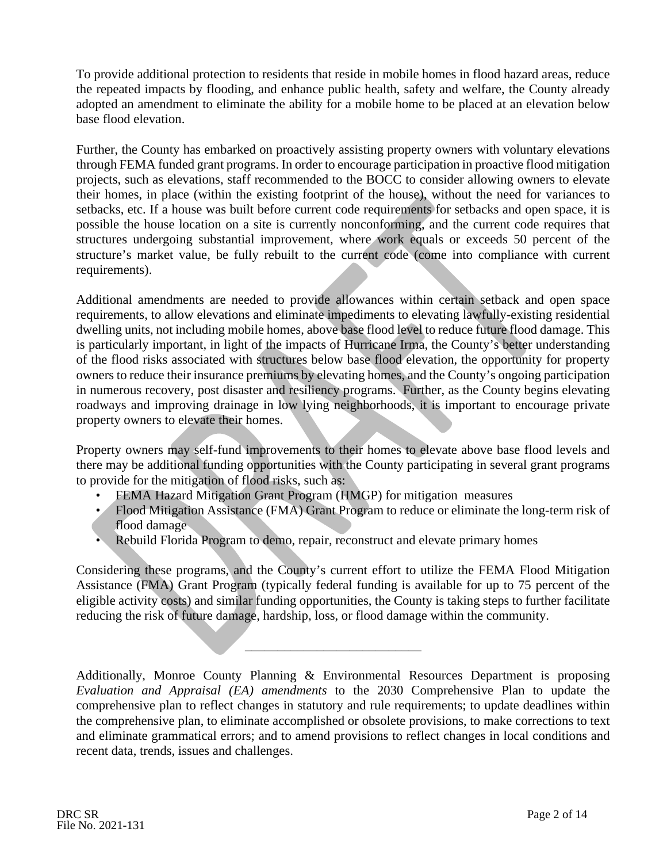To provide additional protection to residents that reside in mobile homes in flood hazard areas, reduce the repeated impacts by flooding, and enhance public health, safety and welfare, the County already adopted an amendment to eliminate the ability for a mobile home to be placed at an elevation below base flood elevation.

Further, the County has embarked on proactively assisting property owners with voluntary elevations through FEMA funded grant programs. In order to encourage participation in proactive flood mitigation projects, such as elevations, staff recommended to the BOCC to consider allowing owners to elevate their homes, in place (within the existing footprint of the house), without the need for variances to setbacks, etc. If a house was built before current code requirements for setbacks and open space, it is possible the house location on a site is currently nonconforming, and the current code requires that structures undergoing substantial improvement, where work equals or exceeds 50 percent of the structure's market value, be fully rebuilt to the current code (come into compliance with current requirements).

Additional amendments are needed to provide allowances within certain setback and open space requirements, to allow elevations and eliminate impediments to elevating lawfully-existing residential dwelling units, not including mobile homes, above base flood level to reduce future flood damage. This is particularly important, in light of the impacts of Hurricane Irma, the County's better understanding of the flood risks associated with structures below base flood elevation, the opportunity for property owners to reduce their insurance premiums by elevating homes, and the County's ongoing participation in numerous recovery, post disaster and resiliency programs. Further, as the County begins elevating roadways and improving drainage in low lying neighborhoods, it is important to encourage private property owners to elevate their homes.

Property owners may self-fund improvements to their homes to elevate above base flood levels and there may be additional funding opportunities with the County participating in several grant programs to provide for the mitigation of flood risks, such as:

- FEMA Hazard Mitigation Grant Program (HMGP) for mitigation measures
- Flood Mitigation Assistance (FMA) Grant Program to reduce or eliminate the long-term risk of flood damage
- Rebuild Florida Program to demo, repair, reconstruct and elevate primary homes

Considering these programs, and the County's current effort to utilize the FEMA Flood Mitigation Assistance (FMA) Grant Program (typically federal funding is available for up to 75 percent of the eligible activity costs) and similar funding opportunities, the County is taking steps to further facilitate reducing the risk of future damage, hardship, loss, or flood damage within the community.

\_\_\_\_\_\_\_\_\_\_\_\_\_\_\_\_\_\_\_\_\_\_\_\_\_\_\_

Additionally, Monroe County Planning & Environmental Resources Department is proposing *Evaluation and Appraisal (EA) amendments* to the 2030 Comprehensive Plan to update the comprehensive plan to reflect changes in statutory and rule requirements; to update deadlines within the comprehensive plan, to eliminate accomplished or obsolete provisions, to make corrections to text and eliminate grammatical errors; and to amend provisions to reflect changes in local conditions and recent data, trends, issues and challenges.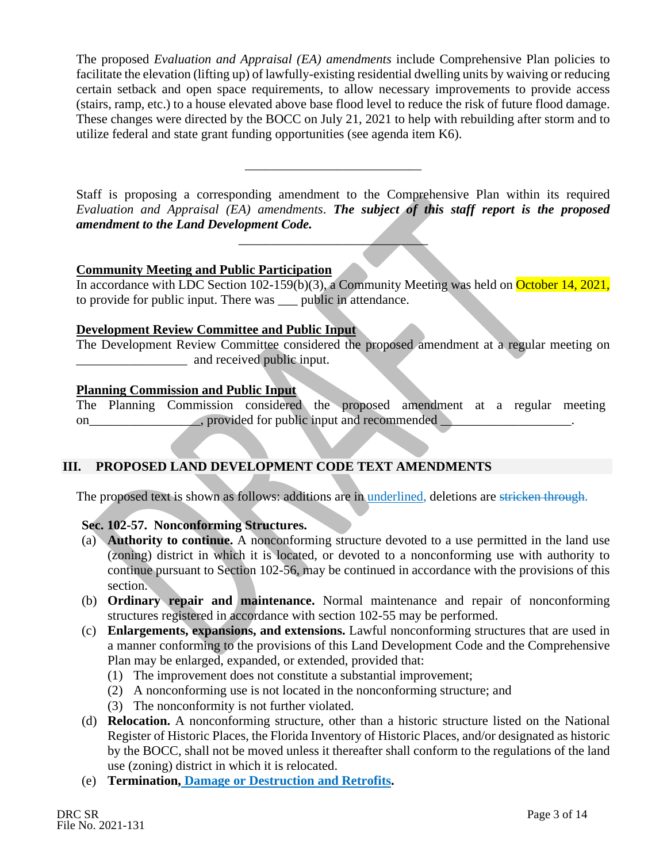The proposed *Evaluation and Appraisal (EA) amendments* include Comprehensive Plan policies to facilitate the elevation (lifting up) of lawfully-existing residential dwelling units by waiving or reducing certain setback and open space requirements, to allow necessary improvements to provide access (stairs, ramp, etc.) to a house elevated above base flood level to reduce the risk of future flood damage. These changes were directed by the BOCC on July 21, 2021 to help with rebuilding after storm and to utilize federal and state grant funding opportunities (see agenda item K6).

Staff is proposing a corresponding amendment to the Comprehensive Plan within its required *Evaluation and Appraisal (EA) amendments*. *The subject of this staff report is the proposed amendment to the Land Development Code.* 

 $\overline{\phantom{a}}$  , where  $\overline{\phantom{a}}$ 

\_\_\_\_\_\_\_\_\_\_\_\_\_\_\_\_\_\_\_\_\_\_\_\_\_\_\_

## **Community Meeting and Public Participation**

In accordance with LDC Section 102-159(b)(3), a Community Meeting was held on October 14, 2021, to provide for public input. There was \_\_\_ public in attendance.

### **Development Review Committee and Public Input**

The Development Review Committee considered the proposed amendment at a regular meeting on and received public input.

## **Planning Commission and Public Input**

The Planning Commission considered the proposed amendment at a regular meeting on\_\_\_\_\_\_\_\_\_\_\_\_\_\_\_\_, provided for public input and recommended

## **III. PROPOSED LAND DEVELOPMENT CODE TEXT AMENDMENTS**

The proposed text is shown as follows: additions are in <u>underlined</u>, deletions are stricken through.

## **Sec. 102-57. Nonconforming Structures.**

- (a) **Authority to continue.** A nonconforming structure devoted to a use permitted in the land use (zoning) district in which it is located, or devoted to a nonconforming use with authority to continue pursuant to Section 102-56, may be continued in accordance with the provisions of this section.
- (b) **Ordinary repair and maintenance.** Normal maintenance and repair of nonconforming structures registered in accordance with section 102-55 may be performed.
- (c) **Enlargements, expansions, and extensions.** Lawful nonconforming structures that are used in a manner conforming to the provisions of this Land Development Code and the Comprehensive Plan may be enlarged, expanded, or extended, provided that:
	- (1) The improvement does not constitute a substantial improvement;
	- (2) A nonconforming use is not located in the nonconforming structure; and
	- (3) The nonconformity is not further violated.
- (d) **Relocation.** A nonconforming structure, other than a historic structure listed on the National Register of Historic Places, the Florida Inventory of Historic Places, and/or designated as historic by the BOCC, shall not be moved unless it thereafter shall conform to the regulations of the land use (zoning) district in which it is relocated.
- (e) **Termination, Damage or Destruction and Retrofits.**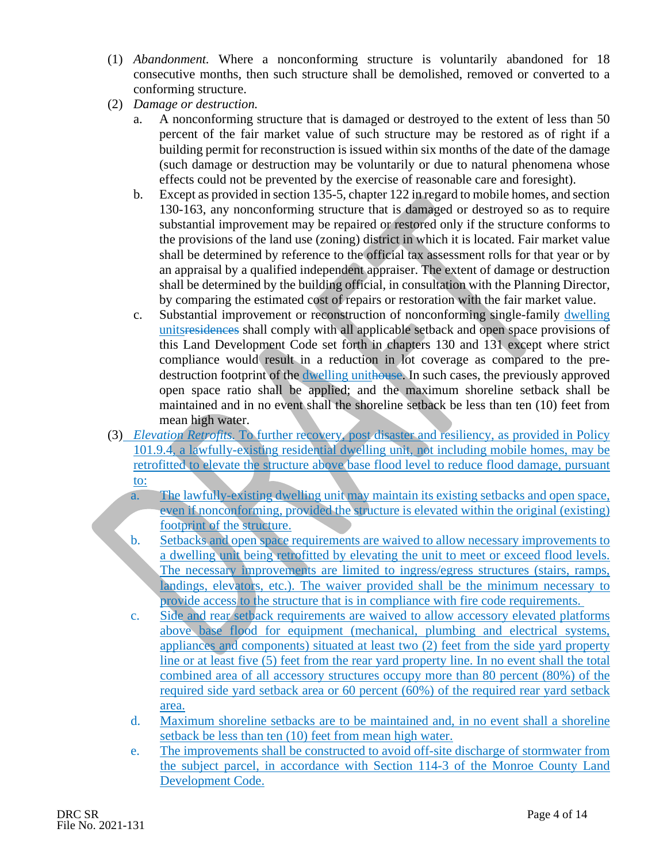- (1) *Abandonment.* Where a nonconforming structure is voluntarily abandoned for 18 consecutive months, then such structure shall be demolished, removed or converted to a conforming structure.
- (2) *Damage or destruction.*
	- a. A nonconforming structure that is damaged or destroyed to the extent of less than 50 percent of the fair market value of such structure may be restored as of right if a building permit for reconstruction is issued within six months of the date of the damage (such damage or destruction may be voluntarily or due to natural phenomena whose effects could not be prevented by the exercise of reasonable care and foresight).
	- b. Except as provided in section 135-5, chapter 122 in regard to mobile homes, and section 130-163, any nonconforming structure that is damaged or destroyed so as to require substantial improvement may be repaired or restored only if the structure conforms to the provisions of the land use (zoning) district in which it is located. Fair market value shall be determined by reference to the official tax assessment rolls for that year or by an appraisal by a qualified independent appraiser. The extent of damage or destruction shall be determined by the building official, in consultation with the Planning Director, by comparing the estimated cost of repairs or restoration with the fair market value.
	- c. Substantial improvement or reconstruction of nonconforming single-family dwelling unitsresidences shall comply with all applicable setback and open space provisions of this Land Development Code set forth in chapters 130 and 131 except where strict compliance would result in a reduction in lot coverage as compared to the predestruction footprint of the dwelling unithouse. In such cases, the previously approved open space ratio shall be applied; and the maximum shoreline setback shall be maintained and in no event shall the shoreline setback be less than ten (10) feet from mean high water.
- (3) *Elevation Retrofits.* To further recovery, post disaster and resiliency, as provided in Policy 101.9.4, a lawfully-existing residential dwelling unit, not including mobile homes, may be retrofitted to elevate the structure above base flood level to reduce flood damage, pursuant to:
	- a. The lawfully-existing dwelling unit may maintain its existing setbacks and open space, even if nonconforming, provided the structure is elevated within the original (existing) footprint of the structure.
	- b. Setbacks and open space requirements are waived to allow necessary improvements to a dwelling unit being retrofitted by elevating the unit to meet or exceed flood levels. The necessary improvements are limited to ingress/egress structures (stairs, ramps, landings, elevators, etc.). The waiver provided shall be the minimum necessary to provide access to the structure that is in compliance with fire code requirements.
	- c. Side and rear setback requirements are waived to allow accessory elevated platforms above base flood for equipment (mechanical, plumbing and electrical systems, appliances and components) situated at least two (2) feet from the side yard property line or at least five (5) feet from the rear yard property line. In no event shall the total combined area of all accessory structures occupy more than 80 percent (80%) of the required side yard setback area or 60 percent (60%) of the required rear yard setback area.
	- d. Maximum shoreline setbacks are to be maintained and, in no event shall a shoreline setback be less than ten (10) feet from mean high water.
	- e. The improvements shall be constructed to avoid off-site discharge of stormwater from the subject parcel, in accordance with Section 114-3 of the Monroe County Land Development Code.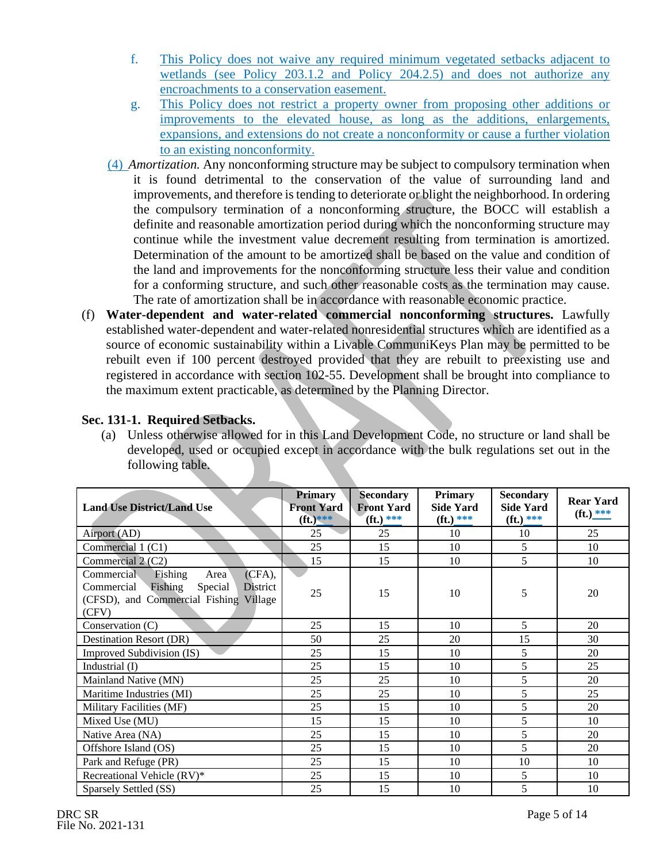- f. This Policy does not waive any required minimum vegetated setbacks adjacent to wetlands (see Policy 203.1.2 and Policy 204.2.5) and does not authorize any encroachments to a conservation easement.
- g. This Policy does not restrict a property owner from proposing other additions or improvements to the elevated house, as long as the additions, enlargements, expansions, and extensions do not create a nonconformity or cause a further violation to an existing nonconformity.
- (4) *Amortization.* Any nonconforming structure may be subject to compulsory termination when it is found detrimental to the conservation of the value of surrounding land and improvements, and therefore is tending to deteriorate or blight the neighborhood. In ordering the compulsory termination of a nonconforming structure, the BOCC will establish a definite and reasonable amortization period during which the nonconforming structure may continue while the investment value decrement resulting from termination is amortized. Determination of the amount to be amortized shall be based on the value and condition of the land and improvements for the nonconforming structure less their value and condition for a conforming structure, and such other reasonable costs as the termination may cause. The rate of amortization shall be in accordance with reasonable economic practice.
- (f) **Water-dependent and water-related commercial nonconforming structures.** Lawfully established water-dependent and water-related nonresidential structures which are identified as a source of economic sustainability within a Livable CommuniKeys Plan may be permitted to be rebuilt even if 100 percent destroyed provided that they are rebuilt to preexisting use and registered in accordance with section 102-55. Development shall be brought into compliance to the maximum extent practicable, as determined by the Planning Director.

## **Sec. 131-1. Required Setbacks.**

(a) Unless otherwise allowed for in this Land Development Code, no structure or land shall be developed, used or occupied except in accordance with the bulk regulations set out in the following table.

| <b>Land Use District/Land Use</b>                                                                                                             | <b>Primary</b><br><b>Front Yard</b><br>$({\bf ft.})$ *** | <b>Secondary</b><br><b>Front Yard</b><br>$(ft.)$ *** | <b>Primary</b><br><b>Side Yard</b><br>$({\bf ft.})$ *** | <b>Secondary</b><br><b>Side Yard</b><br>$(ft.)$ *** | <b>Rear Yard</b><br>$({\bf ft.})$ *** |
|-----------------------------------------------------------------------------------------------------------------------------------------------|----------------------------------------------------------|------------------------------------------------------|---------------------------------------------------------|-----------------------------------------------------|---------------------------------------|
| Airport (AD)                                                                                                                                  | 25                                                       | 25                                                   | 10                                                      | 10                                                  | 25                                    |
| Commercial 1 (C1)                                                                                                                             | 25                                                       | 15                                                   | 10                                                      | 5                                                   | 10                                    |
| Commercial 2 (C2)                                                                                                                             | 15                                                       | 15                                                   | 10                                                      | 5                                                   | 10                                    |
| Commercial<br>$(CFA)$ ,<br>Fishing<br>Area<br>Fishing<br>Commercial<br>Special<br>District<br>(CFSD), and Commercial Fishing Village<br>(CFV) | 25                                                       | 15                                                   | 10                                                      | 5                                                   | 20                                    |
| Conservation (C)                                                                                                                              | 25                                                       | 15                                                   | 10                                                      | 5                                                   | 20                                    |
| Destination Resort (DR)                                                                                                                       | 50                                                       | 25                                                   | 20                                                      | 15                                                  | 30                                    |
| Improved Subdivision (IS)                                                                                                                     | 25                                                       | 15                                                   | 10                                                      | 5                                                   | 20                                    |
| Industrial (I)                                                                                                                                | 25                                                       | 15                                                   | 10                                                      | 5                                                   | 25                                    |
| Mainland Native (MN)                                                                                                                          | 25                                                       | 25                                                   | 10                                                      | 5                                                   | 20                                    |
| Maritime Industries (MI)                                                                                                                      | 25                                                       | 25                                                   | 10                                                      | 5                                                   | 25                                    |
| Military Facilities (MF)                                                                                                                      | 25                                                       | 15                                                   | 10                                                      | 5                                                   | 20                                    |
| Mixed Use (MU)                                                                                                                                | 15                                                       | 15                                                   | 10                                                      | 5                                                   | 10                                    |
| Native Area (NA)                                                                                                                              | 25                                                       | 15                                                   | 10                                                      | 5                                                   | 20                                    |
| Offshore Island (OS)                                                                                                                          | 25                                                       | 15                                                   | 10                                                      | 5                                                   | 20                                    |
| Park and Refuge (PR)                                                                                                                          | 25                                                       | 15                                                   | 10                                                      | 10                                                  | 10                                    |
| Recreational Vehicle (RV)*                                                                                                                    | 25                                                       | 15                                                   | 10                                                      | 5                                                   | 10                                    |
| Sparsely Settled (SS)                                                                                                                         | 25                                                       | 15                                                   | 10                                                      | 5                                                   | 10                                    |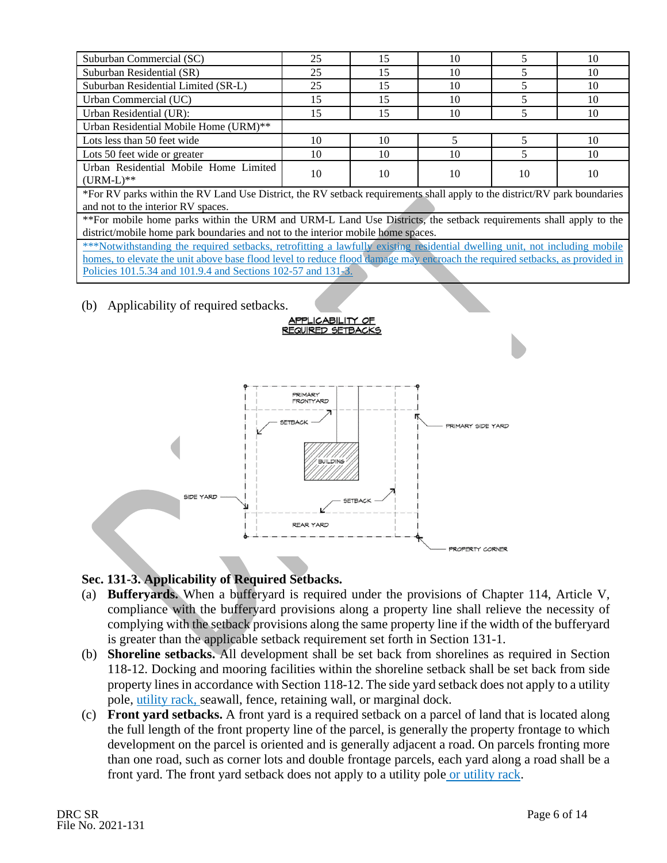| 25                                                                                                                          | 15 | 10 | 5  | 10 |
|-----------------------------------------------------------------------------------------------------------------------------|----|----|----|----|
| 25                                                                                                                          | 15 | 10 | 5  | 10 |
| 25                                                                                                                          | 15 | 10 | 5  | 10 |
| 15                                                                                                                          | 15 | 10 | 5  | 10 |
| 15                                                                                                                          | 15 | 10 | 5  | 10 |
|                                                                                                                             |    |    |    |    |
| 10                                                                                                                          | 10 |    | 5  | 10 |
| 10                                                                                                                          | 10 | 10 | 5  | 10 |
|                                                                                                                             |    |    |    | 10 |
|                                                                                                                             |    |    |    |    |
| *For RV parks within the RV Land Use District, the RV setback requirements shall apply to the district/RV park boundaries   |    |    |    |    |
| and not to the interior RV spaces.                                                                                          |    |    |    |    |
| ** For mobile home parks within the URM and URM-L Land Use Districts, the setback requirements shall apply to the           |    |    |    |    |
| district/mobile home park boundaries and not to the interior mobile home spaces.                                            |    |    |    |    |
| ***Notwithstanding the required setbacks, retrofitting a lawfully existing residential dwelling unit, not including mobile  |    |    |    |    |
| homes, to elevate the unit above base flood level to reduce flood damage may encroach the required setbacks, as provided in |    |    |    |    |
| Policies 101.5.34 and 101.9.4 and Sections 102-57 and 131-3.                                                                |    |    |    |    |
|                                                                                                                             | 10 | 10 | 10 | 10 |

(b) Applicability of required setbacks.



<u>APPLICABILITY OF</u><br>REQUIRED SETBACKS

## **Sec. 131-3. Applicability of Required Setbacks.**

- (a) **Bufferyards.** When a bufferyard is required under the provisions of Chapter 114, Article V, compliance with the bufferyard provisions along a property line shall relieve the necessity of complying with the setback provisions along the same property line if the width of the bufferyard is greater than the applicable setback requirement set forth in Section 131-1.
- (b) **Shoreline setbacks.** All development shall be set back from shorelines as required in Section 118-12. Docking and mooring facilities within the shoreline setback shall be set back from side property lines in accordance with Section 118-12. The side yard setback does not apply to a utility pole, utility rack, seawall, fence, retaining wall, or marginal dock.
- (c) **Front yard setbacks.** A front yard is a required setback on a parcel of land that is located along the full length of the front property line of the parcel, is generally the property frontage to which development on the parcel is oriented and is generally adjacent a road. On parcels fronting more than one road, such as corner lots and double frontage parcels, each yard along a road shall be a front yard. The front yard setback does not apply to a utility pole or utility rack.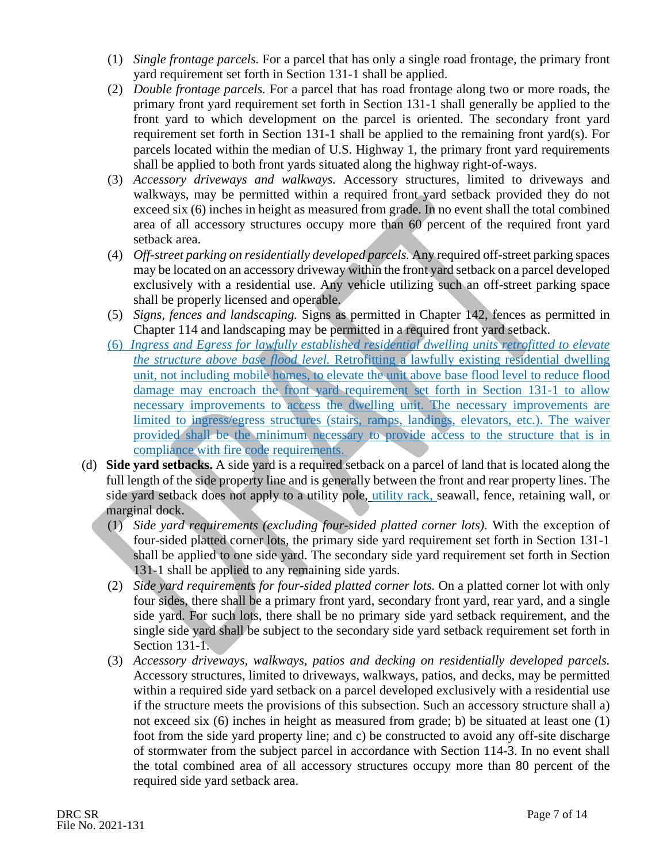- (1) *Single frontage parcels.* For a parcel that has only a single road frontage, the primary front yard requirement set forth in Section 131-1 shall be applied.
- (2) *Double frontage parcels.* For a parcel that has road frontage along two or more roads, the primary front yard requirement set forth in Section 131-1 shall generally be applied to the front yard to which development on the parcel is oriented. The secondary front yard requirement set forth in Section 131-1 shall be applied to the remaining front yard(s). For parcels located within the median of U.S. Highway 1, the primary front yard requirements shall be applied to both front yards situated along the highway right-of-ways.
- (3) *Accessory driveways and walkways.* Accessory structures, limited to driveways and walkways, may be permitted within a required front yard setback provided they do not exceed six (6) inches in height as measured from grade. In no event shall the total combined area of all accessory structures occupy more than 60 percent of the required front yard setback area.
- (4) *Off-street parking on residentially developed parcels.* Any required off-street parking spaces may be located on an accessory driveway within the front yard setback on a parcel developed exclusively with a residential use. Any vehicle utilizing such an off-street parking space shall be properly licensed and operable.
- (5) *Signs, fences and landscaping.* Signs as permitted in Chapter 142, fences as permitted in Chapter 114 and landscaping may be permitted in a required front yard setback.
- (6) *Ingress and Egress for lawfully established residential dwelling units retrofitted to elevate the structure above base flood level.* Retrofitting a lawfully existing residential dwelling unit, not including mobile homes, to elevate the unit above base flood level to reduce flood damage may encroach the front yard requirement set forth in Section 131-1 to allow necessary improvements to access the dwelling unit. The necessary improvements are limited to ingress/egress structures (stairs, ramps, landings, elevators, etc.). The waiver provided shall be the minimum necessary to provide access to the structure that is in compliance with fire code requirements.
- (d) **Side yard setbacks.** A side yard is a required setback on a parcel of land that is located along the full length of the side property line and is generally between the front and rear property lines. The side yard setback does not apply to a utility pole, utility rack, seawall, fence, retaining wall, or marginal dock.
	- (1) *Side yard requirements (excluding four-sided platted corner lots).* With the exception of four-sided platted corner lots, the primary side yard requirement set forth in Section 131-1 shall be applied to one side yard. The secondary side yard requirement set forth in Section 131-1 shall be applied to any remaining side yards.
	- (2) *Side yard requirements for four-sided platted corner lots.* On a platted corner lot with only four sides, there shall be a primary front yard, secondary front yard, rear yard, and a single side yard. For such lots, there shall be no primary side yard setback requirement, and the single side yard shall be subject to the secondary side yard setback requirement set forth in Section 131-1.
	- (3) *Accessory driveways, walkways, patios and decking on residentially developed parcels.* Accessory structures, limited to driveways, walkways, patios, and decks, may be permitted within a required side yard setback on a parcel developed exclusively with a residential use if the structure meets the provisions of this subsection. Such an accessory structure shall a) not exceed six (6) inches in height as measured from grade; b) be situated at least one (1) foot from the side yard property line; and c) be constructed to avoid any off-site discharge of stormwater from the subject parcel in accordance with Section 114-3. In no event shall the total combined area of all accessory structures occupy more than 80 percent of the required side yard setback area.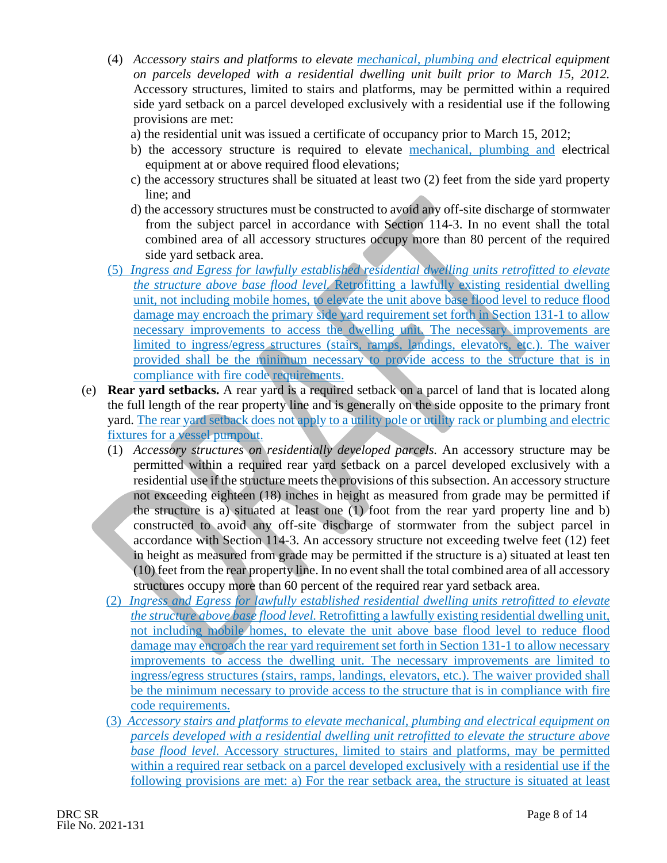- (4) *Accessory stairs and platforms to elevate mechanical, plumbing and electrical equipment on parcels developed with a residential dwelling unit built prior to March 15, 2012.* Accessory structures, limited to stairs and platforms, may be permitted within a required side yard setback on a parcel developed exclusively with a residential use if the following provisions are met:
	- a) the residential unit was issued a certificate of occupancy prior to March 15, 2012;
	- b) the accessory structure is required to elevate mechanical, plumbing and electrical equipment at or above required flood elevations;
	- c) the accessory structures shall be situated at least two (2) feet from the side yard property line; and
	- d) the accessory structures must be constructed to avoid any off-site discharge of stormwater from the subject parcel in accordance with Section 114-3. In no event shall the total combined area of all accessory structures occupy more than 80 percent of the required side yard setback area.
- (5) *Ingress and Egress for lawfully established residential dwelling units retrofitted to elevate the structure above base flood level.* Retrofitting a lawfully existing residential dwelling unit, not including mobile homes, to elevate the unit above base flood level to reduce flood damage may encroach the primary side yard requirement set forth in Section 131-1 to allow necessary improvements to access the dwelling unit. The necessary improvements are limited to ingress/egress structures (stairs, ramps, landings, elevators, etc.). The waiver provided shall be the minimum necessary to provide access to the structure that is in compliance with fire code requirements.
- (e) **Rear yard setbacks.** A rear yard is a required setback on a parcel of land that is located along the full length of the rear property line and is generally on the side opposite to the primary front yard. The rear yard setback does not apply to a utility pole or utility rack or plumbing and electric fixtures for a vessel pumpout.
	- (1) *Accessory structures on residentially developed parcels.* An accessory structure may be permitted within a required rear yard setback on a parcel developed exclusively with a residential use if the structure meets the provisions of this subsection. An accessory structure not exceeding eighteen (18) inches in height as measured from grade may be permitted if the structure is a) situated at least one (1) foot from the rear yard property line and b) constructed to avoid any off-site discharge of stormwater from the subject parcel in accordance with Section 114-3. An accessory structure not exceeding twelve feet (12) feet in height as measured from grade may be permitted if the structure is a) situated at least ten (10) feet from the rear property line. In no event shall the total combined area of all accessory structures occupy more than 60 percent of the required rear yard setback area.
	- (2) *Ingress and Egress for lawfully established residential dwelling units retrofitted to elevate the structure above base flood level.* Retrofitting a lawfully existing residential dwelling unit, not including mobile homes, to elevate the unit above base flood level to reduce flood damage may encroach the rear yard requirement set forth in Section 131-1 to allow necessary improvements to access the dwelling unit. The necessary improvements are limited to ingress/egress structures (stairs, ramps, landings, elevators, etc.). The waiver provided shall be the minimum necessary to provide access to the structure that is in compliance with fire code requirements.
	- (3) *Accessory stairs and platforms to elevate mechanical, plumbing and electrical equipment on parcels developed with a residential dwelling unit retrofitted to elevate the structure above base flood level.* Accessory structures, limited to stairs and platforms, may be permitted within a required rear setback on a parcel developed exclusively with a residential use if the following provisions are met: a) For the rear setback area, the structure is situated at least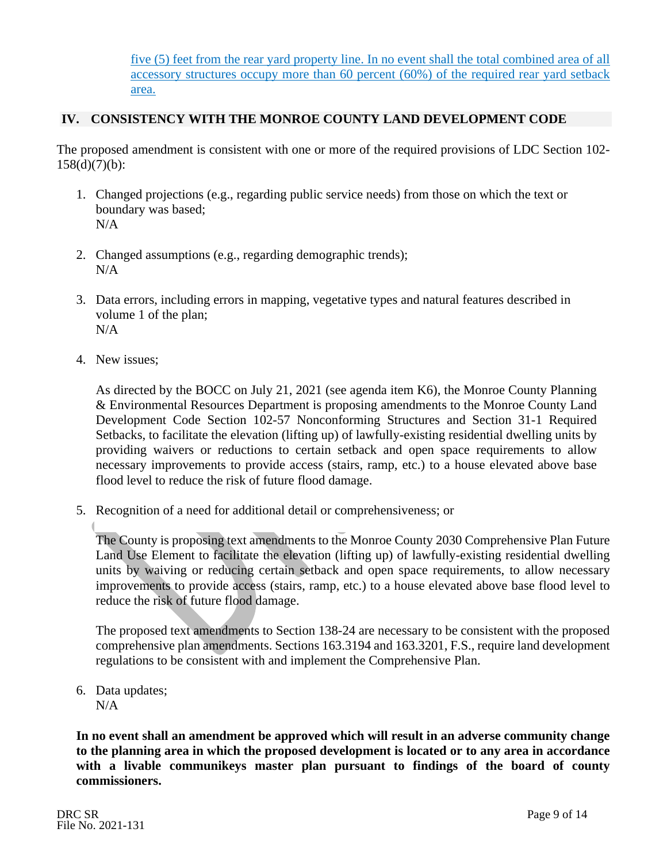five (5) feet from the rear yard property line. In no event shall the total combined area of all accessory structures occupy more than 60 percent (60%) of the required rear yard setback area.

## **IV. CONSISTENCY WITH THE MONROE COUNTY LAND DEVELOPMENT CODE**

The proposed amendment is consistent with one or more of the required provisions of LDC Section 102-  $158(d)(7)(b)$ :

- 1. Changed projections (e.g., regarding public service needs) from those on which the text or boundary was based;  $N/A$
- 2. Changed assumptions (e.g., regarding demographic trends); N/A
- 3. Data errors, including errors in mapping, vegetative types and natural features described in volume 1 of the plan; N/A
- 4. New issues;

As directed by the BOCC on July 21, 2021 (see agenda item K6), the Monroe County Planning & Environmental Resources Department is proposing amendments to the Monroe County Land Development Code Section 102-57 Nonconforming Structures and Section 31-1 Required Setbacks, to facilitate the elevation (lifting up) of lawfully-existing residential dwelling units by providing waivers or reductions to certain setback and open space requirements to allow necessary improvements to provide access (stairs, ramp, etc.) to a house elevated above base flood level to reduce the risk of future flood damage.

5. Recognition of a need for additional detail or comprehensiveness; or

The County is proposing text amendments to the Monroe County 2030 Comprehensive Plan Future Land Use Element to facilitate the elevation (lifting up) of lawfully-existing residential dwelling units by waiving or reducing certain setback and open space requirements, to allow necessary improvements to provide access (stairs, ramp, etc.) to a house elevated above base flood level to reduce the risk of future flood damage.

The proposed text amendments to Section 138-24 are necessary to be consistent with the proposed comprehensive plan amendments. Sections 163.3194 and 163.3201, F.S., require land development regulations to be consistent with and implement the Comprehensive Plan.

6. Data updates; N/A

**In no event shall an amendment be approved which will result in an adverse community change to the planning area in which the proposed development is located or to any area in accordance with a livable communikeys master plan pursuant to findings of the board of county commissioners.**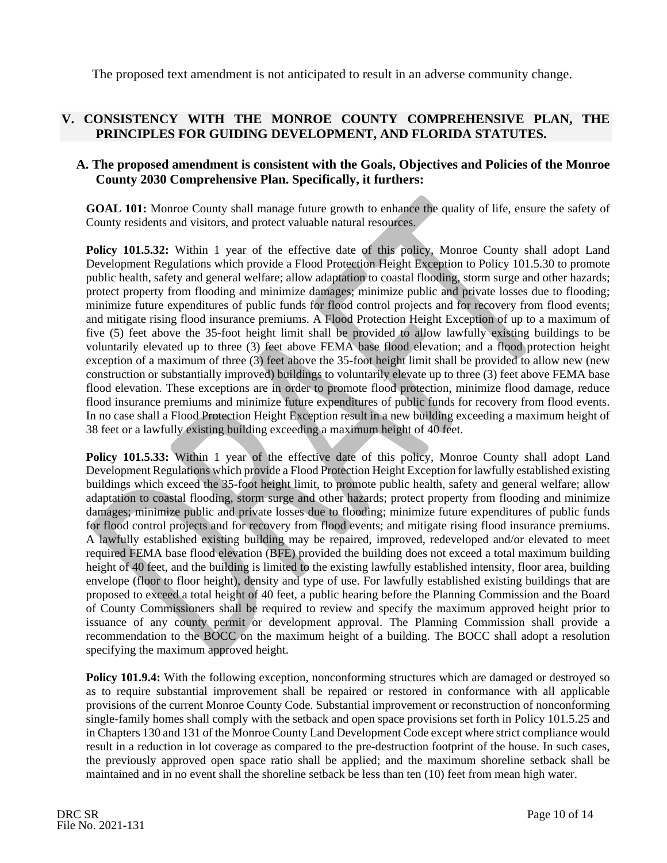The proposed text amendment is not anticipated to result in an adverse community change.

## **V. CONSISTENCY WITH THE MONROE COUNTY COMPREHENSIVE PLAN, THE PRINCIPLES FOR GUIDING DEVELOPMENT, AND FLORIDA STATUTES.**

### **A. The proposed amendment is consistent with the Goals, Objectives and Policies of the Monroe County 2030 Comprehensive Plan. Specifically, it furthers:**

**GOAL 101:** Monroe County shall manage future growth to enhance the quality of life, ensure the safety of County residents and visitors, and protect valuable natural resources.

**Policy 101.5.32:** Within 1 year of the effective date of this policy, Monroe County shall adopt Land Development Regulations which provide a Flood Protection Height Exception to Policy 101.5.30 to promote public health, safety and general welfare; allow adaptation to coastal flooding, storm surge and other hazards; protect property from flooding and minimize damages; minimize public and private losses due to flooding; minimize future expenditures of public funds for flood control projects and for recovery from flood events; and mitigate rising flood insurance premiums. A Flood Protection Height Exception of up to a maximum of five (5) feet above the 35-foot height limit shall be provided to allow lawfully existing buildings to be voluntarily elevated up to three (3) feet above FEMA base flood elevation; and a flood protection height exception of a maximum of three (3) feet above the 35-foot height limit shall be provided to allow new (new construction or substantially improved) buildings to voluntarily elevate up to three (3) feet above FEMA base flood elevation. These exceptions are in order to promote flood protection, minimize flood damage, reduce flood insurance premiums and minimize future expenditures of public funds for recovery from flood events. In no case shall a Flood Protection Height Exception result in a new building exceeding a maximum height of 38 feet or a lawfully existing building exceeding a maximum height of 40 feet.

**Policy 101.5.33:** Within 1 year of the effective date of this policy, Monroe County shall adopt Land Development Regulations which provide a Flood Protection Height Exception for lawfully established existing buildings which exceed the 35-foot height limit, to promote public health, safety and general welfare; allow adaptation to coastal flooding, storm surge and other hazards; protect property from flooding and minimize damages; minimize public and private losses due to flooding; minimize future expenditures of public funds for flood control projects and for recovery from flood events; and mitigate rising flood insurance premiums. A lawfully established existing building may be repaired, improved, redeveloped and/or elevated to meet required FEMA base flood elevation (BFE) provided the building does not exceed a total maximum building height of 40 feet, and the building is limited to the existing lawfully established intensity, floor area, building envelope (floor to floor height), density and type of use. For lawfully established existing buildings that are proposed to exceed a total height of 40 feet, a public hearing before the Planning Commission and the Board of County Commissioners shall be required to review and specify the maximum approved height prior to issuance of any county permit or development approval. The Planning Commission shall provide a recommendation to the BOCC on the maximum height of a building. The BOCC shall adopt a resolution specifying the maximum approved height.

**Policy 101.9.4:** With the following exception, nonconforming structures which are damaged or destroyed so as to require substantial improvement shall be repaired or restored in conformance with all applicable provisions of the current Monroe County Code. Substantial improvement or reconstruction of nonconforming single-family homes shall comply with the setback and open space provisions set forth in Policy 101.5.25 and in Chapters 130 and 131 of the Monroe County Land Development Code except where strict compliance would result in a reduction in lot coverage as compared to the pre-destruction footprint of the house. In such cases, the previously approved open space ratio shall be applied; and the maximum shoreline setback shall be maintained and in no event shall the shoreline setback be less than ten (10) feet from mean high water.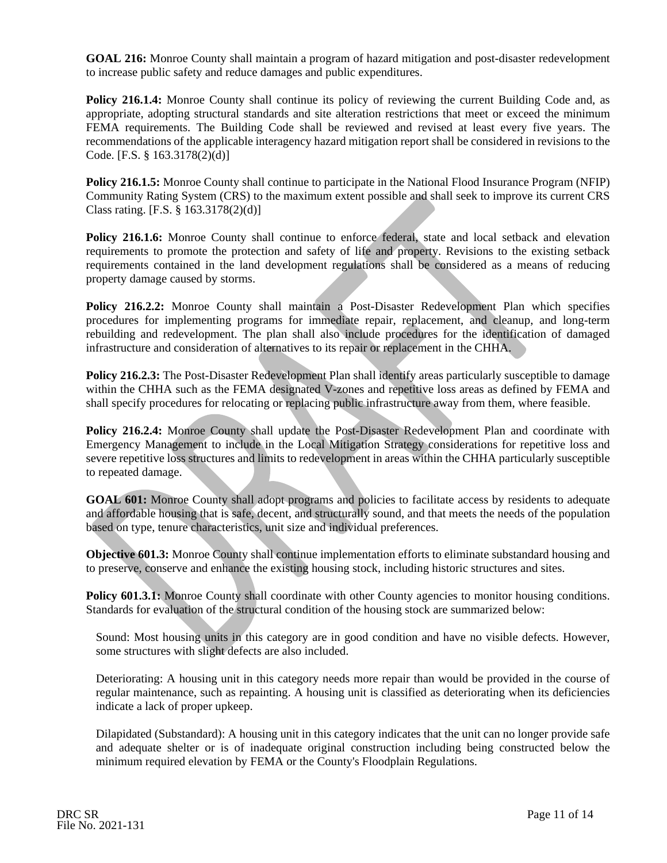**GOAL 216:** Monroe County shall maintain a program of hazard mitigation and post-disaster redevelopment to increase public safety and reduce damages and public expenditures.

**Policy 216.1.4:** Monroe County shall continue its policy of reviewing the current Building Code and, as appropriate, adopting structural standards and site alteration restrictions that meet or exceed the minimum FEMA requirements. The Building Code shall be reviewed and revised at least every five years. The recommendations of the applicable interagency hazard mitigation report shall be considered in revisions to the Code. [F.S. § 163.3178(2)(d)]

**Policy 216.1.5:** Monroe County shall continue to participate in the National Flood Insurance Program (NFIP) Community Rating System (CRS) to the maximum extent possible and shall seek to improve its current CRS Class rating. [F.S. § 163.3178(2)(d)]

**Policy 216.1.6:** Monroe County shall continue to enforce federal, state and local setback and elevation requirements to promote the protection and safety of life and property. Revisions to the existing setback requirements contained in the land development regulations shall be considered as a means of reducing property damage caused by storms.

**Policy 216.2.2:** Monroe County shall maintain a Post-Disaster Redevelopment Plan which specifies procedures for implementing programs for immediate repair, replacement, and cleanup, and long-term rebuilding and redevelopment. The plan shall also include procedures for the identification of damaged infrastructure and consideration of alternatives to its repair or replacement in the CHHA.

**Policy 216.2.3:** The Post-Disaster Redevelopment Plan shall identify areas particularly susceptible to damage within the CHHA such as the FEMA designated V-zones and repetitive loss areas as defined by FEMA and shall specify procedures for relocating or replacing public infrastructure away from them, where feasible.

Policy 216.2.4: Monroe County shall update the Post-Disaster Redevelopment Plan and coordinate with Emergency Management to include in the Local Mitigation Strategy considerations for repetitive loss and severe repetitive loss structures and limits to redevelopment in areas within the CHHA particularly susceptible to repeated damage.

**GOAL 601:** Monroe County shall adopt programs and policies to facilitate access by residents to adequate and affordable housing that is safe, decent, and structurally sound, and that meets the needs of the population based on type, tenure characteristics, unit size and individual preferences.

**Objective 601.3:** Monroe County shall continue implementation efforts to eliminate substandard housing and to preserve, conserve and enhance the existing housing stock, including historic structures and sites.

**Policy 601.3.1:** Monroe County shall coordinate with other County agencies to monitor housing conditions. Standards for evaluation of the structural condition of the housing stock are summarized below:

Sound: Most housing units in this category are in good condition and have no visible defects. However, some structures with slight defects are also included.

Deteriorating: A housing unit in this category needs more repair than would be provided in the course of regular maintenance, such as repainting. A housing unit is classified as deteriorating when its deficiencies indicate a lack of proper upkeep.

Dilapidated (Substandard): A housing unit in this category indicates that the unit can no longer provide safe and adequate shelter or is of inadequate original construction including being constructed below the minimum required elevation by FEMA or the County's Floodplain Regulations.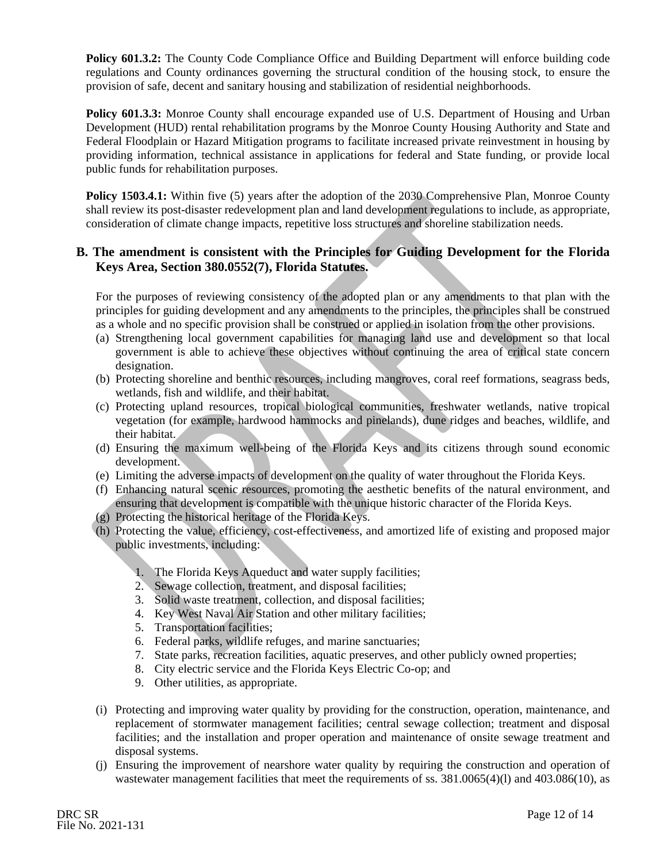**Policy 601.3.2:** The County Code Compliance Office and Building Department will enforce building code regulations and County ordinances governing the structural condition of the housing stock, to ensure the provision of safe, decent and sanitary housing and stabilization of residential neighborhoods.

Policy 601.3.3: Monroe County shall encourage expanded use of U.S. Department of Housing and Urban Development (HUD) rental rehabilitation programs by the Monroe County Housing Authority and State and Federal Floodplain or Hazard Mitigation programs to facilitate increased private reinvestment in housing by providing information, technical assistance in applications for federal and State funding, or provide local public funds for rehabilitation purposes.

**Policy 1503.4.1:** Within five (5) years after the adoption of the 2030 Comprehensive Plan, Monroe County shall review its post-disaster redevelopment plan and land development regulations to include, as appropriate, consideration of climate change impacts, repetitive loss structures and shoreline stabilization needs.

## **B. The amendment is consistent with the Principles for Guiding Development for the Florida Keys Area, Section 380.0552(7), Florida Statutes.**

For the purposes of reviewing consistency of the adopted plan or any amendments to that plan with the principles for guiding development and any amendments to the principles, the principles shall be construed as a whole and no specific provision shall be construed or applied in isolation from the other provisions.

- (a) Strengthening local government capabilities for managing land use and development so that local government is able to achieve these objectives without continuing the area of critical state concern designation.
- (b) Protecting shoreline and benthic resources, including mangroves, coral reef formations, seagrass beds, wetlands, fish and wildlife, and their habitat.
- (c) Protecting upland resources, tropical biological communities, freshwater wetlands, native tropical vegetation (for example, hardwood hammocks and pinelands), dune ridges and beaches, wildlife, and their habitat.
- (d) Ensuring the maximum well-being of the Florida Keys and its citizens through sound economic development.
- (e) Limiting the adverse impacts of development on the quality of water throughout the Florida Keys.
- (f) Enhancing natural scenic resources, promoting the aesthetic benefits of the natural environment, and ensuring that development is compatible with the unique historic character of the Florida Keys.
- (g) Protecting the historical heritage of the Florida Keys.
- (h) Protecting the value, efficiency, cost-effectiveness, and amortized life of existing and proposed major public investments, including:
	- 1. The Florida Keys Aqueduct and water supply facilities;
	- 2. Sewage collection, treatment, and disposal facilities;
	- 3. Solid waste treatment, collection, and disposal facilities;
	- 4. Key West Naval Air Station and other military facilities;
	- 5. Transportation facilities;
	- 6. Federal parks, wildlife refuges, and marine sanctuaries;
	- 7. State parks, recreation facilities, aquatic preserves, and other publicly owned properties;
	- 8. City electric service and the Florida Keys Electric Co-op; and
	- 9. Other utilities, as appropriate.
- (i) Protecting and improving water quality by providing for the construction, operation, maintenance, and replacement of stormwater management facilities; central sewage collection; treatment and disposal facilities; and the installation and proper operation and maintenance of onsite sewage treatment and disposal systems.
- (j) Ensuring the improvement of nearshore water quality by requiring the construction and operation of wastewater management facilities that meet the requirements of ss.  $381.0065(4)(l)$  and  $403.086(10)$ , as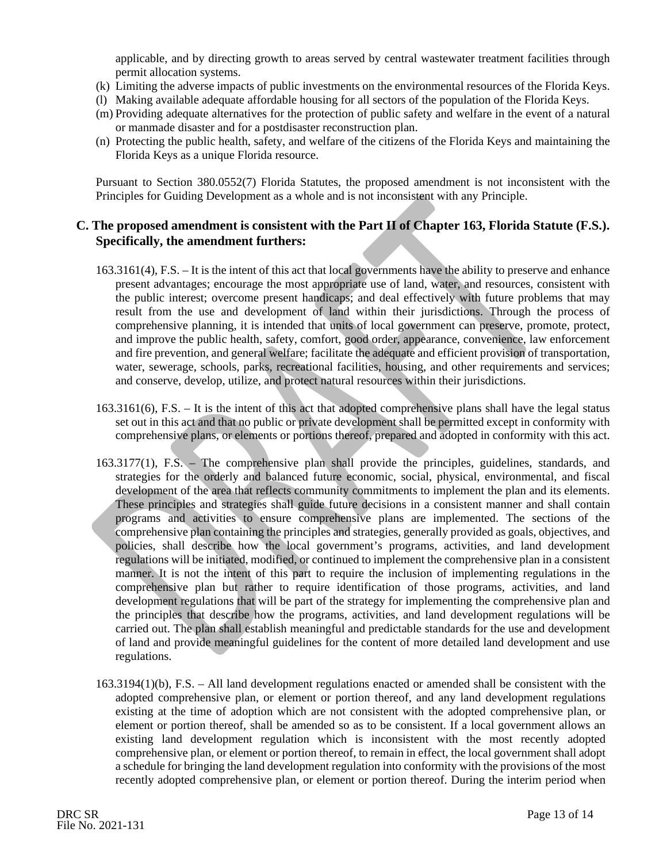applicable, and by directing growth to areas served by central wastewater treatment facilities through permit allocation systems.

- (k) Limiting the adverse impacts of public investments on the environmental resources of the Florida Keys.
- (l) Making available adequate affordable housing for all sectors of the population of the Florida Keys.
- (m) Providing adequate alternatives for the protection of public safety and welfare in the event of a natural or manmade disaster and for a postdisaster reconstruction plan.
- (n) Protecting the public health, safety, and welfare of the citizens of the Florida Keys and maintaining the Florida Keys as a unique Florida resource.

Pursuant to Section 380.0552(7) Florida Statutes, the proposed amendment is not inconsistent with the Principles for Guiding Development as a whole and is not inconsistent with any Principle.

#### **C. The proposed amendment is consistent with the Part II of Chapter 163, Florida Statute (F.S.). Specifically, the amendment furthers:**

- 163.3161(4), F.S. It is the intent of this act that local governments have the ability to preserve and enhance present advantages; encourage the most appropriate use of land, water, and resources, consistent with the public interest; overcome present handicaps; and deal effectively with future problems that may result from the use and development of land within their jurisdictions. Through the process of comprehensive planning, it is intended that units of local government can preserve, promote, protect, and improve the public health, safety, comfort, good order, appearance, convenience, law enforcement and fire prevention, and general welfare; facilitate the adequate and efficient provision of transportation, water, sewerage, schools, parks, recreational facilities, housing, and other requirements and services; and conserve, develop, utilize, and protect natural resources within their jurisdictions.
- 163.3161(6), F.S. It is the intent of this act that adopted comprehensive plans shall have the legal status set out in this act and that no public or private development shall be permitted except in conformity with comprehensive plans, or elements or portions thereof, prepared and adopted in conformity with this act.
- 163.3177(1), F.S. The comprehensive plan shall provide the principles, guidelines, standards, and strategies for the orderly and balanced future economic, social, physical, environmental, and fiscal development of the area that reflects community commitments to implement the plan and its elements. These principles and strategies shall guide future decisions in a consistent manner and shall contain programs and activities to ensure comprehensive plans are implemented. The sections of the comprehensive plan containing the principles and strategies, generally provided as goals, objectives, and policies, shall describe how the local government's programs, activities, and land development regulations will be initiated, modified, or continued to implement the comprehensive plan in a consistent manner. It is not the intent of this part to require the inclusion of implementing regulations in the comprehensive plan but rather to require identification of those programs, activities, and land development regulations that will be part of the strategy for implementing the comprehensive plan and the principles that describe how the programs, activities, and land development regulations will be carried out. The plan shall establish meaningful and predictable standards for the use and development of land and provide meaningful guidelines for the content of more detailed land development and use regulations.
- 163.3194(1)(b), F.S. All land development regulations enacted or amended shall be consistent with the adopted comprehensive plan, or element or portion thereof, and any land development regulations existing at the time of adoption which are not consistent with the adopted comprehensive plan, or element or portion thereof, shall be amended so as to be consistent. If a local government allows an existing land development regulation which is inconsistent with the most recently adopted comprehensive plan, or element or portion thereof, to remain in effect, the local government shall adopt a schedule for bringing the land development regulation into conformity with the provisions of the most recently adopted comprehensive plan, or element or portion thereof. During the interim period when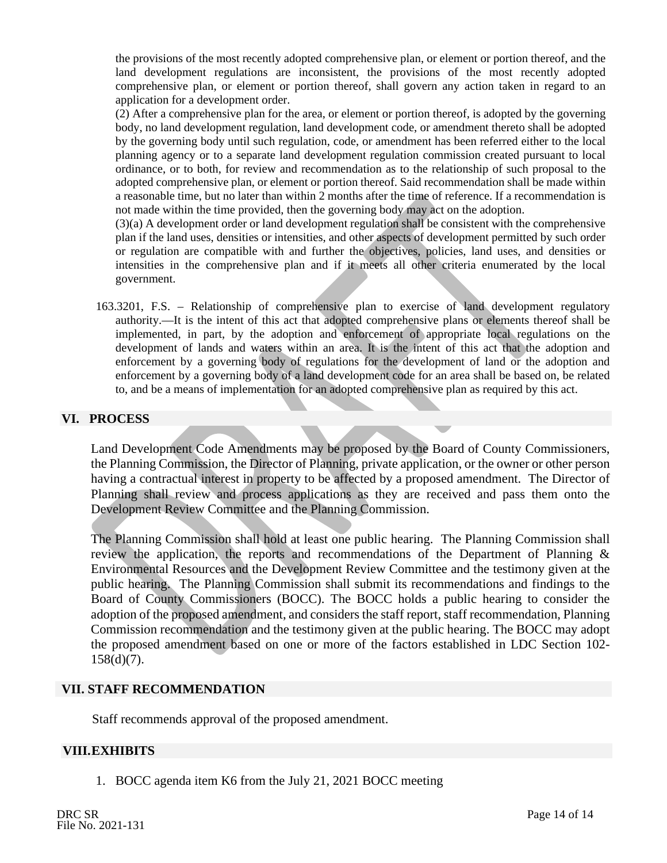the provisions of the most recently adopted comprehensive plan, or element or portion thereof, and the land development regulations are inconsistent, the provisions of the most recently adopted comprehensive plan, or element or portion thereof, shall govern any action taken in regard to an application for a development order.

(2) After a comprehensive plan for the area, or element or portion thereof, is adopted by the governing body, no land development regulation, land development code, or amendment thereto shall be adopted by the governing body until such regulation, code, or amendment has been referred either to the local planning agency or to a separate land development regulation commission created pursuant to local ordinance, or to both, for review and recommendation as to the relationship of such proposal to the adopted comprehensive plan, or element or portion thereof. Said recommendation shall be made within a reasonable time, but no later than within 2 months after the time of reference. If a recommendation is not made within the time provided, then the governing body may act on the adoption.

(3)(a) A development order or land development regulation shall be consistent with the comprehensive plan if the land uses, densities or intensities, and other aspects of development permitted by such order or regulation are compatible with and further the objectives, policies, land uses, and densities or intensities in the comprehensive plan and if it meets all other criteria enumerated by the local government.

163.3201, F.S. – Relationship of comprehensive plan to exercise of land development regulatory authority.—It is the intent of this act that adopted comprehensive plans or elements thereof shall be implemented, in part, by the adoption and enforcement of appropriate local regulations on the development of lands and waters within an area. It is the intent of this act that the adoption and enforcement by a governing body of regulations for the development of land or the adoption and enforcement by a governing body of a land development code for an area shall be based on, be related to, and be a means of implementation for an adopted comprehensive plan as required by this act.

#### **VI. PROCESS**

Land Development Code Amendments may be proposed by the Board of County Commissioners, the Planning Commission, the Director of Planning, private application, or the owner or other person having a contractual interest in property to be affected by a proposed amendment. The Director of Planning shall review and process applications as they are received and pass them onto the Development Review Committee and the Planning Commission.

The Planning Commission shall hold at least one public hearing. The Planning Commission shall review the application, the reports and recommendations of the Department of Planning  $\&$ Environmental Resources and the Development Review Committee and the testimony given at the public hearing. The Planning Commission shall submit its recommendations and findings to the Board of County Commissioners (BOCC). The BOCC holds a public hearing to consider the adoption of the proposed amendment, and considers the staff report, staff recommendation, Planning Commission recommendation and the testimony given at the public hearing. The BOCC may adopt the proposed amendment based on one or more of the factors established in LDC Section 102- 158(d)(7).

#### **VII. STAFF RECOMMENDATION**

Staff recommends approval of the proposed amendment.

#### **VIII.EXHIBITS**

1. BOCC agenda item K6 from the July 21, 2021 BOCC meeting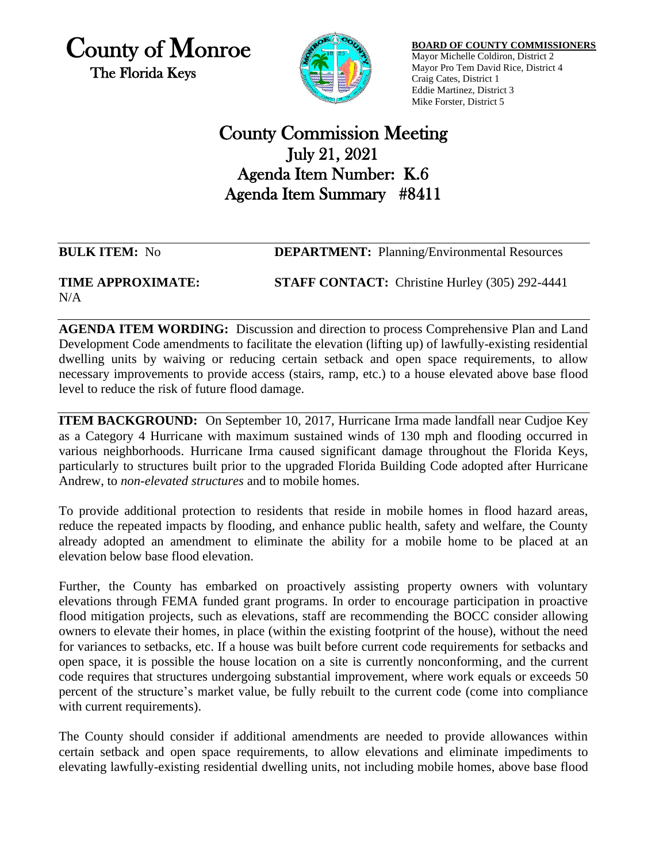County of Monroe The Florida Keys



**BOARD OF COUNTY COMMISSIONERS** Mayor Michelle Coldiron, District 2 Mayor Pro Tem David Rice, District 4 Craig Cates, District 1 Eddie Martinez, District 3 Mike Forster, District 5

# County Commission Meeting July 21, 2021 Agenda Item Number: K.6 Agenda Item Summary #8411

**BULK ITEM:** No **DEPARTMENT:** Planning/Environmental Resources

#### **TIME APPROXIMATE: STAFF CONTACT:** Christine Hurley (305) 292-4441 N/A

**AGENDA ITEM WORDING:** Discussion and direction to process Comprehensive Plan and Land Development Code amendments to facilitate the elevation (lifting up) of lawfully-existing residential dwelling units by waiving or reducing certain setback and open space requirements, to allow necessary improvements to provide access (stairs, ramp, etc.) to a house elevated above base flood level to reduce the risk of future flood damage.

**ITEM BACKGROUND:** On September 10, 2017, Hurricane Irma made landfall near Cudjoe Key as a Category 4 Hurricane with maximum sustained winds of 130 mph and flooding occurred in various neighborhoods. Hurricane Irma caused significant damage throughout the Florida Keys, particularly to structures built prior to the upgraded Florida Building Code adopted after Hurricane Andrew, to *non-elevated structures* and to mobile homes.

To provide additional protection to residents that reside in mobile homes in flood hazard areas, reduce the repeated impacts by flooding, and enhance public health, safety and welfare, the County already adopted an amendment to eliminate the ability for a mobile home to be placed at an elevation below base flood elevation.

Further, the County has embarked on proactively assisting property owners with voluntary elevations through FEMA funded grant programs. In order to encourage participation in proactive flood mitigation projects, such as elevations, staff are recommending the BOCC consider allowing owners to elevate their homes, in place (within the existing footprint of the house), without the need for variances to setbacks, etc. If a house was built before current code requirements for setbacks and open space, it is possible the house location on a site is currently nonconforming, and the current code requires that structures undergoing substantial improvement, where work equals or exceeds 50 percent of the structure's market value, be fully rebuilt to the current code (come into compliance with current requirements).

The County should consider if additional amendments are needed to provide allowances within certain setback and open space requirements, to allow elevations and eliminate impediments to elevating lawfully-existing residential dwelling units, not including mobile homes, above base flood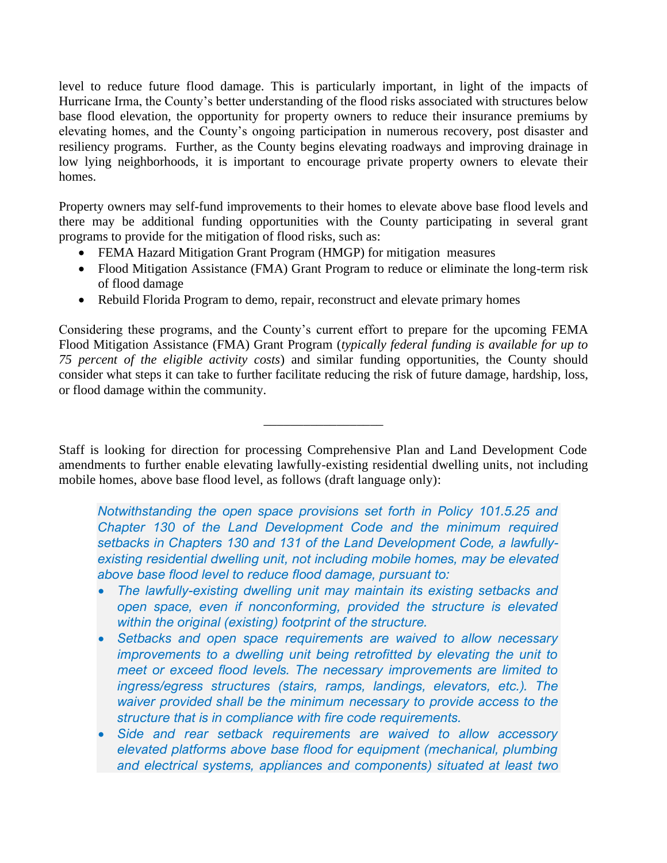level to reduce future flood damage. This is particularly important, in light of the impacts of Hurricane Irma, the County's better understanding of the flood risks associated with structures below base flood elevation, the opportunity for property owners to reduce their insurance premiums by elevating homes, and the County's ongoing participation in numerous recovery, post disaster and resiliency programs. Further, as the County begins elevating roadways and improving drainage in low lying neighborhoods, it is important to encourage private property owners to elevate their homes.

Property owners may self-fund improvements to their homes to elevate above base flood levels and there may be additional funding opportunities with the County participating in several grant programs to provide for the mitigation of flood risks, such as:

- FEMA Hazard Mitigation Grant Program (HMGP) for mitigation measures
- Flood Mitigation Assistance (FMA) Grant Program to reduce or eliminate the long-term risk of flood damage
- Rebuild Florida Program to demo, repair, reconstruct and elevate primary homes

Considering these programs, and the County's current effort to prepare for the upcoming FEMA Flood Mitigation Assistance (FMA) Grant Program (*typically federal funding is available for up to 75 percent of the eligible activity costs*) and similar funding opportunities, the County should consider what steps it can take to further facilitate reducing the risk of future damage, hardship, loss, or flood damage within the community.

Staff is looking for direction for processing Comprehensive Plan and Land Development Code amendments to further enable elevating lawfully-existing residential dwelling units, not including mobile homes, above base flood level, as follows (draft language only):

\_\_\_\_\_\_\_\_\_\_\_\_\_\_\_\_\_\_

*Notwithstanding the open space provisions set forth in Policy 101.5.25 and Chapter 130 of the Land Development Code and the minimum required setbacks in Chapters 130 and 131 of the Land Development Code, a lawfullyexisting residential dwelling unit, not including mobile homes, may be elevated above base flood level to reduce flood damage, pursuant to:*

- *The lawfully-existing dwelling unit may maintain its existing setbacks and open space, even if nonconforming, provided the structure is elevated within the original (existing) footprint of the structure.*
- *Setbacks and open space requirements are waived to allow necessary improvements to a dwelling unit being retrofitted by elevating the unit to meet or exceed flood levels. The necessary improvements are limited to ingress/egress structures (stairs, ramps, landings, elevators, etc.). The waiver provided shall be the minimum necessary to provide access to the structure that is in compliance with fire code requirements.*
- *Side and rear setback requirements are waived to allow accessory elevated platforms above base flood for equipment (mechanical, plumbing and electrical systems, appliances and components) situated at least two*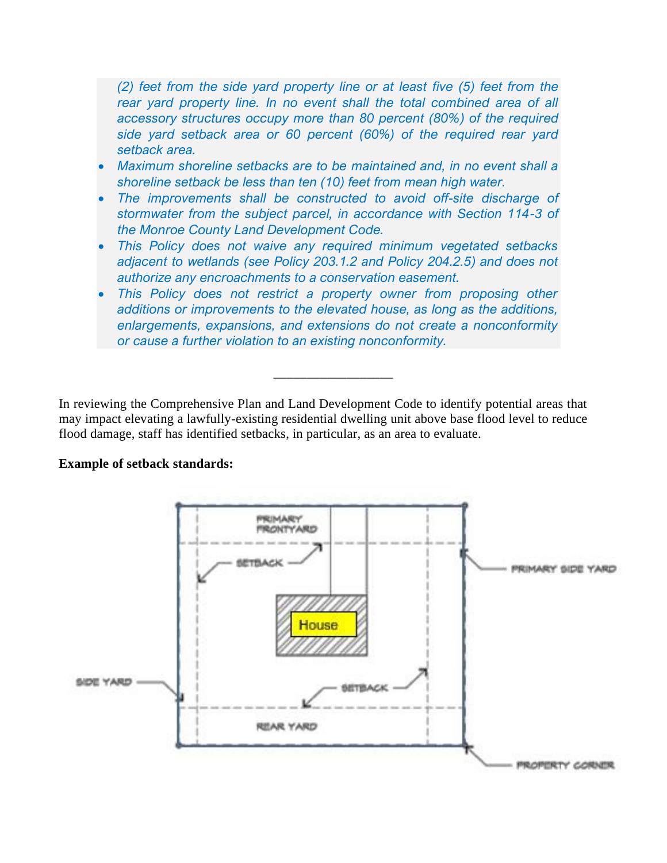*(2) feet from the side yard property line or at least five (5) feet from the rear yard property line. In no event shall the total combined area of all accessory structures occupy more than 80 percent (80%) of the required side yard setback area or 60 percent (60%) of the required rear yard setback area.*

- *Maximum shoreline setbacks are to be maintained and, in no event shall a shoreline setback be less than ten (10) feet from mean high water.*
- *The improvements shall be constructed to avoid off-site discharge of stormwater from the subject parcel, in accordance with Section 114-3 of the Monroe County Land Development Code.*
- *This Policy does not waive any required minimum vegetated setbacks adjacent to wetlands (see Policy 203.1.2 and Policy 204.2.5) and does not authorize any encroachments to a conservation easement.*
- *This Policy does not restrict a property owner from proposing other additions or improvements to the elevated house, as long as the additions, enlargements, expansions, and extensions do not create a nonconformity or cause a further violation to an existing nonconformity.*

\_\_\_\_\_\_\_\_\_\_\_\_\_\_\_\_\_\_

In reviewing the Comprehensive Plan and Land Development Code to identify potential areas that may impact elevating a lawfully-existing residential dwelling unit above base flood level to reduce flood damage, staff has identified setbacks, in particular, as an area to evaluate.

#### **Example of setback standards:**

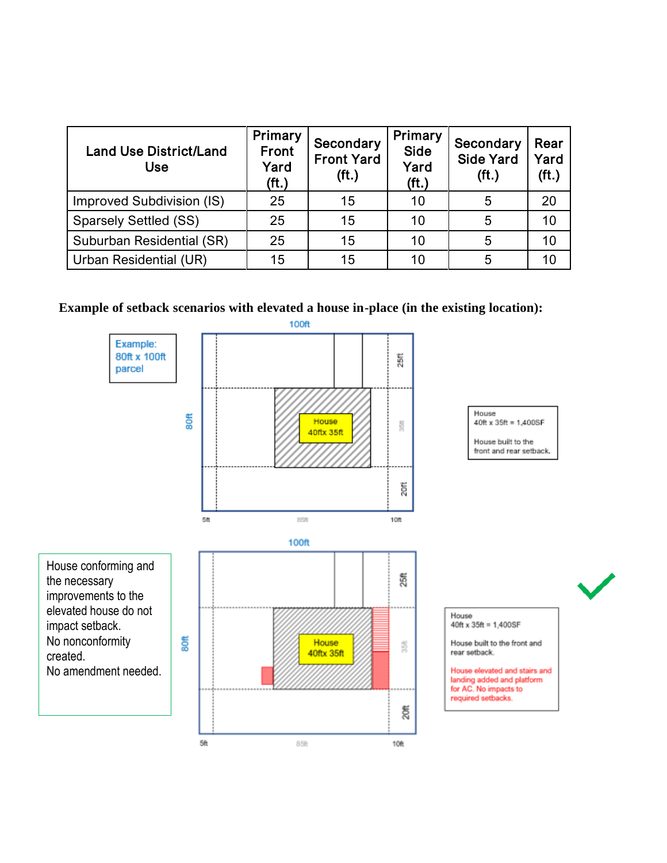| <b>Land Use District/Land</b><br><b>Use</b> | Primary<br><b>Front</b><br>Yard<br>(f <sub>t</sub> ) | Secondary<br><b>Front Yard</b><br>(f <sub>t</sub> ) | Primary<br>Side<br>Yard<br>(f <sub>t</sub> ) | Secondary<br><b>Side Yard</b><br>(f <sub>t</sub> ) | Rear<br>Yard<br>(f <sub>t</sub> ) |
|---------------------------------------------|------------------------------------------------------|-----------------------------------------------------|----------------------------------------------|----------------------------------------------------|-----------------------------------|
| Improved Subdivision (IS)                   | 25                                                   | 15                                                  | 10                                           | 5                                                  | 20                                |
| <b>Sparsely Settled (SS)</b>                | 25                                                   | 15                                                  | 10                                           | 5                                                  | 10                                |
| Suburban Residential (SR)                   | 25                                                   | 15                                                  | 10                                           | 5                                                  | 10                                |
| Urban Residential (UR)                      | 15                                                   | 15                                                  | 10                                           | 5                                                  | 10                                |

## **Example of setback scenarios with elevated a house in-place (in the existing location):**

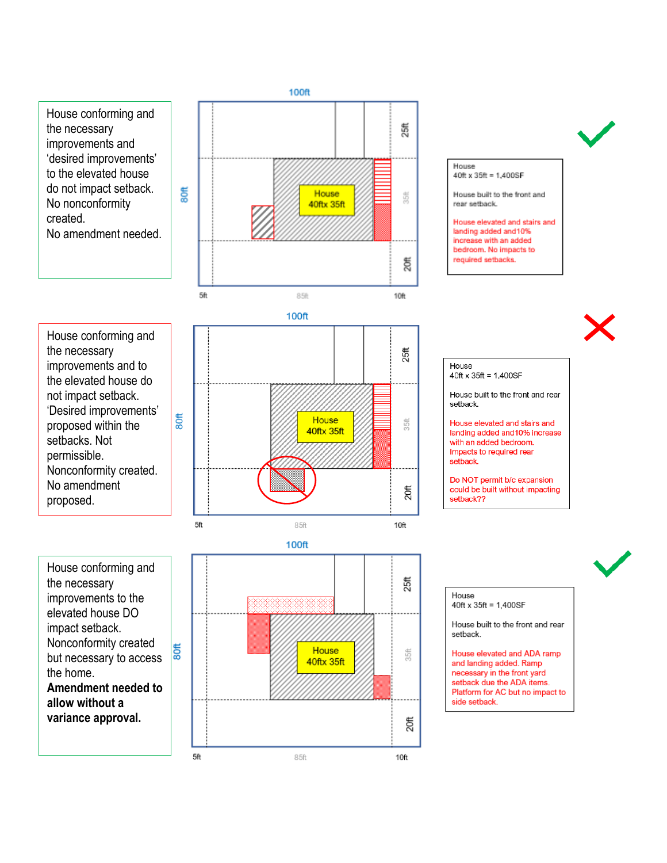







House conforming and the necessary improvements to the elevated house DO impact setback. Nonconformity created  $\frac{1}{8}$ but necessary to access the home. **Amendment needed to allow without a variance approval.**





House 40ft x 35ft = 1,400SF

House built to the front and rear setback.

House elevated and stairs and landing added and 10% increase with an added bedroom. No impacts to required setbacks.



House  $40ft \times 35ft = 1,400SF$ 

House built to the front and rear setback.

House elevated and stairs and landing added and 10% increase with an added bedroom. Impacts to required rear setback.

Do NOT permit b/c expansion could be built without impacting setback??



#### House  $40ft \times 35ft = 1.400SF$

House built to the front and rear setback.

House elevated and ADA ramp and landing added. Ramp necessary in the front yard setback due the ADA items. Platform for AC but no impact to side setback.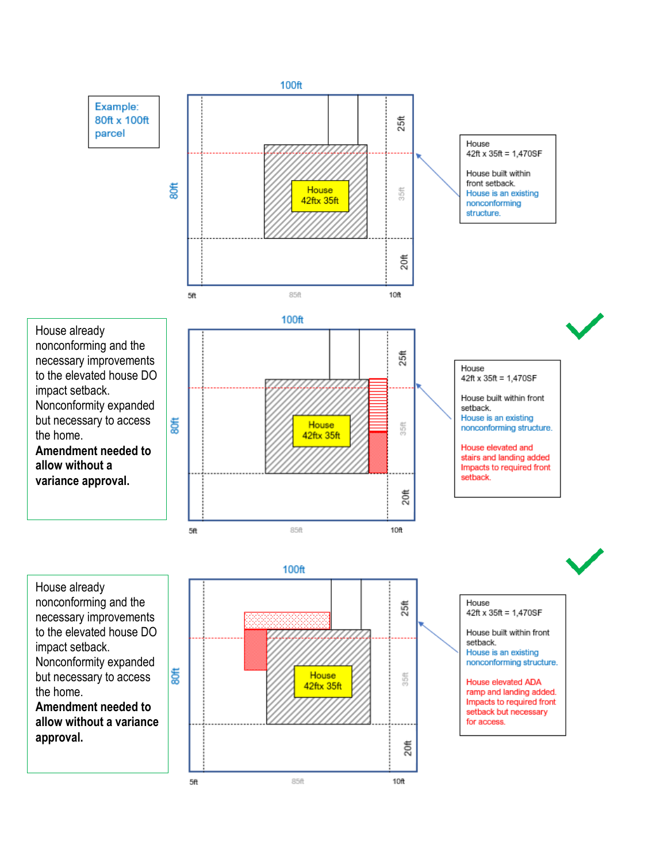

House already nonconforming and the necessary improvements to the elevated house DO impact setback. Nonconformity expanded but necessary to access the home. **Amendment needed to** 

**allow without a variance approval.**



House 42ft x 35ft = 1,470SF House built within front setback. House is an existing nonconforming structure. House elevated ADA ramp and landing added. Impacts to required front setback but necessary for access.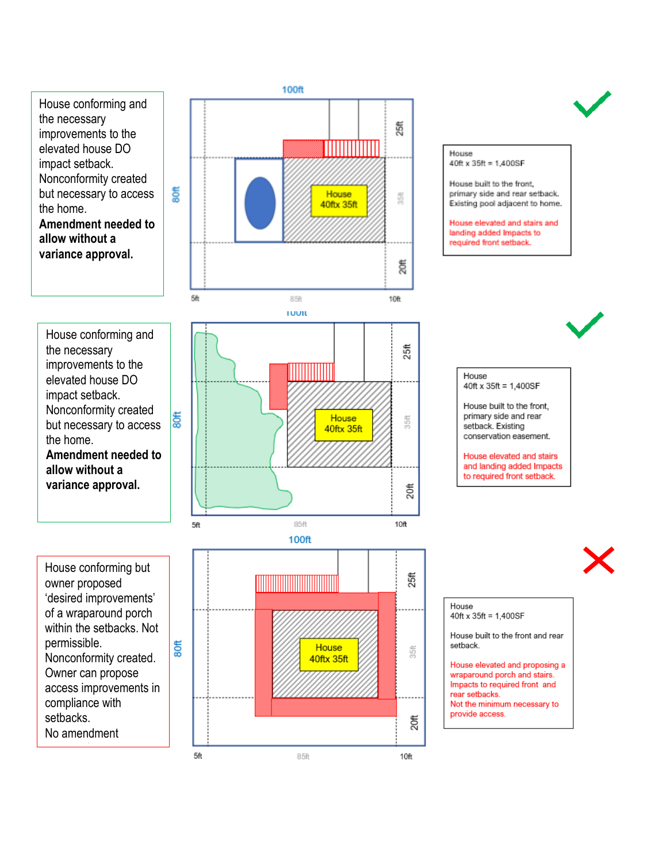House conforming and the necessary improvements to the elevated house DO impact setback. Nonconformity created but necessary to access the home. **Amendment needed to allow without a variance approval.** 

ã

\$

House conforming and the necessary improvements to the elevated house DO impact setback. Nonconformity created but necessary to access the home. **Amendment needed to allow without a variance approval.**

House 55 40ftx 35ft క్ష 5h 85ft  $10<sub>ft</sub>$ **TUUIL**  $25<sup>ft</sup>$ House 35ft 40ftx 35ft  $\frac{4}{20}$ 

**100ft** 

5ft

House

40ft x 35ft = 1,400SF House built to the front,

primary side and rear setback.

Existing pool adjacent to home. House elevated and stairs and landing added Impacts to required front setback.

<u>MANAMANI</u>

House conforming but owner proposed 'desired improvements' of a wraparound porch within the setbacks. Not permissible. Nonconformity created. Owner can propose access improvements in compliance with setbacks. No amendment

proposed.<br>Proposed



House

 $40ft \times 35ft = 1.400SF$ 

House built to the front, primary side and rear setback. Existing conservation easement.

House elevated and stairs and landing added Impacts to required front setback.



#### House  $40ft \times 35ft = 1,400SF$

House built to the front and rear setback.

House elevated and proposing a wraparound porch and stairs. Impacts to required front and rear setbacks. Not the minimum necessary to provide access.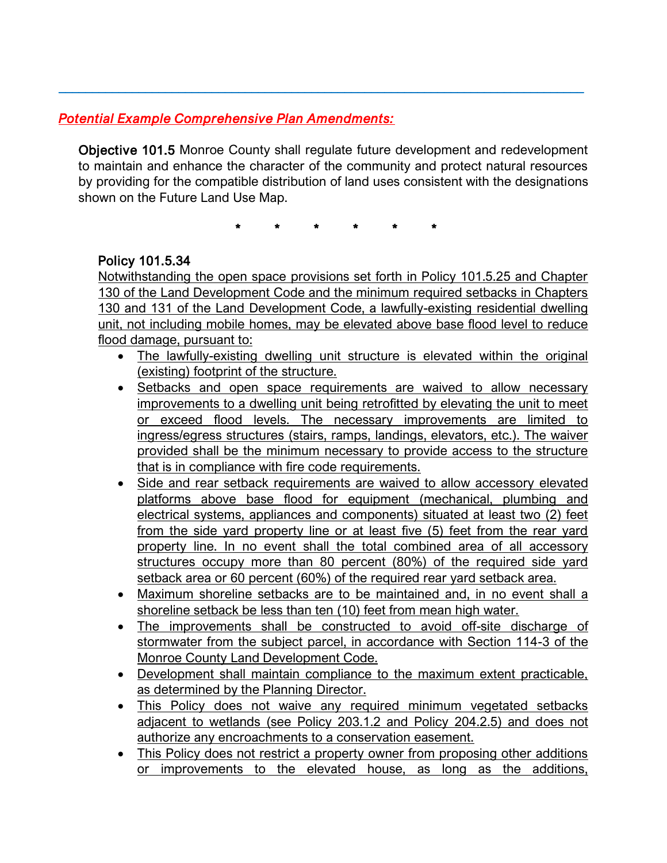## *Potential Example Comprehensive Plan Amendments:*

Objective 101.5 Monroe County shall regulate future development and redevelopment to maintain and enhance the character of the community and protect natural resources by providing for the compatible distribution of land uses consistent with the designations shown on the Future Land Use Map.

 $\_$  ,  $\_$  ,  $\_$  ,  $\_$  ,  $\_$  ,  $\_$  ,  $\_$  ,  $\_$  ,  $\_$  ,  $\_$  ,  $\_$  ,  $\_$  ,  $\_$  ,  $\_$  ,  $\_$  ,  $\_$  ,  $\_$  ,  $\_$  ,  $\_$  ,  $\_$  ,  $\_$  ,  $\_$  ,  $\_$  ,  $\_$  ,  $\_$  ,  $\_$  ,  $\_$  ,  $\_$  ,  $\_$  ,  $\_$  ,  $\_$  ,  $\_$  ,  $\_$  ,  $\_$  ,  $\_$  ,  $\_$  ,  $\_$  ,

\* \* \* \* \* \*

## Policy 101.5.34

Notwithstanding the open space provisions set forth in Policy 101.5.25 and Chapter 130 of the Land Development Code and the minimum required setbacks in Chapters 130 and 131 of the Land Development Code, a lawfully-existing residential dwelling unit, not including mobile homes, may be elevated above base flood level to reduce flood damage, pursuant to:

- The lawfully-existing dwelling unit structure is elevated within the original (existing) footprint of the structure.
- Setbacks and open space requirements are waived to allow necessary improvements to a dwelling unit being retrofitted by elevating the unit to meet or exceed flood levels. The necessary improvements are limited to ingress/egress structures (stairs, ramps, landings, elevators, etc.). The waiver provided shall be the minimum necessary to provide access to the structure that is in compliance with fire code requirements.
- Side and rear setback requirements are waived to allow accessory elevated platforms above base flood for equipment (mechanical, plumbing and electrical systems, appliances and components) situated at least two (2) feet from the side yard property line or at least five (5) feet from the rear yard property line. In no event shall the total combined area of all accessory structures occupy more than 80 percent (80%) of the required side yard setback area or 60 percent (60%) of the required rear yard setback area.
- Maximum shoreline setbacks are to be maintained and, in no event shall a shoreline setback be less than ten (10) feet from mean high water.
- The improvements shall be constructed to avoid off-site discharge of stormwater from the subject parcel, in accordance with Section 114-3 of the Monroe County Land Development Code.
- Development shall maintain compliance to the maximum extent practicable, as determined by the Planning Director.
- This Policy does not waive any required minimum vegetated setbacks adjacent to wetlands (see Policy 203.1.2 and Policy 204.2.5) and does not authorize any encroachments to a conservation easement.
- This Policy does not restrict a property owner from proposing other additions or improvements to the elevated house, as long as the additions,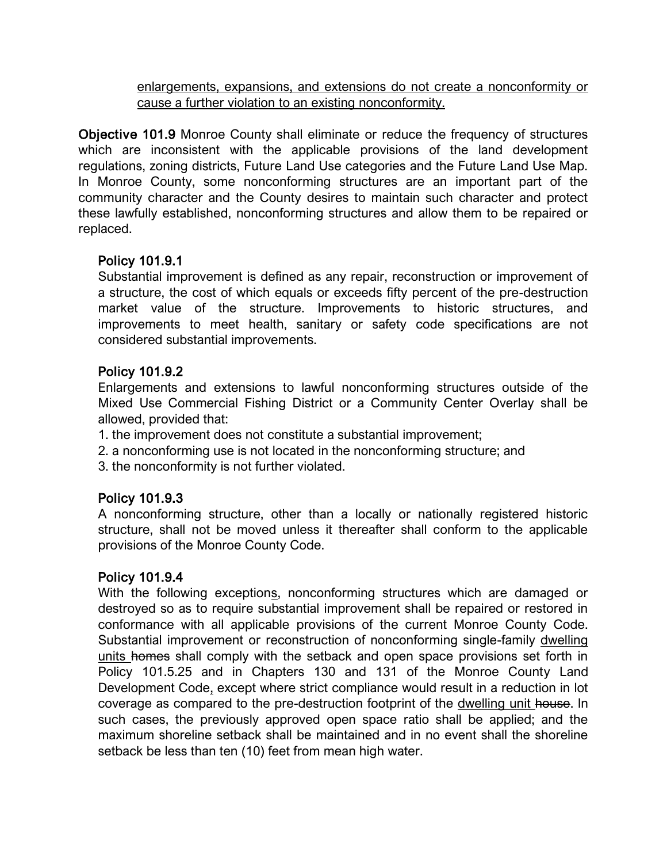enlargements, expansions, and extensions do not create a nonconformity or cause a further violation to an existing nonconformity.

Objective 101.9 Monroe County shall eliminate or reduce the frequency of structures which are inconsistent with the applicable provisions of the land development regulations, zoning districts, Future Land Use categories and the Future Land Use Map. In Monroe County, some nonconforming structures are an important part of the community character and the County desires to maintain such character and protect these lawfully established, nonconforming structures and allow them to be repaired or replaced.

## Policy 101.9.1

Substantial improvement is defined as any repair, reconstruction or improvement of a structure, the cost of which equals or exceeds fifty percent of the pre-destruction market value of the structure. Improvements to historic structures, and improvements to meet health, sanitary or safety code specifications are not considered substantial improvements.

## Policy 101.9.2

Enlargements and extensions to lawful nonconforming structures outside of the Mixed Use Commercial Fishing District or a Community Center Overlay shall be allowed, provided that:

1. the improvement does not constitute a substantial improvement;

2. a nonconforming use is not located in the nonconforming structure; and

3. the nonconformity is not further violated.

## Policy 101.9.3

A nonconforming structure, other than a locally or nationally registered historic structure, shall not be moved unless it thereafter shall conform to the applicable provisions of the Monroe County Code.

## Policy 101.9.4

With the following exceptions, nonconforming structures which are damaged or destroyed so as to require substantial improvement shall be repaired or restored in conformance with all applicable provisions of the current Monroe County Code. Substantial improvement or reconstruction of nonconforming single-family dwelling units homes shall comply with the setback and open space provisions set forth in Policy 101.5.25 and in Chapters 130 and 131 of the Monroe County Land Development Code, except where strict compliance would result in a reduction in lot coverage as compared to the pre-destruction footprint of the dwelling unit house. In such cases, the previously approved open space ratio shall be applied; and the maximum shoreline setback shall be maintained and in no event shall the shoreline setback be less than ten (10) feet from mean high water.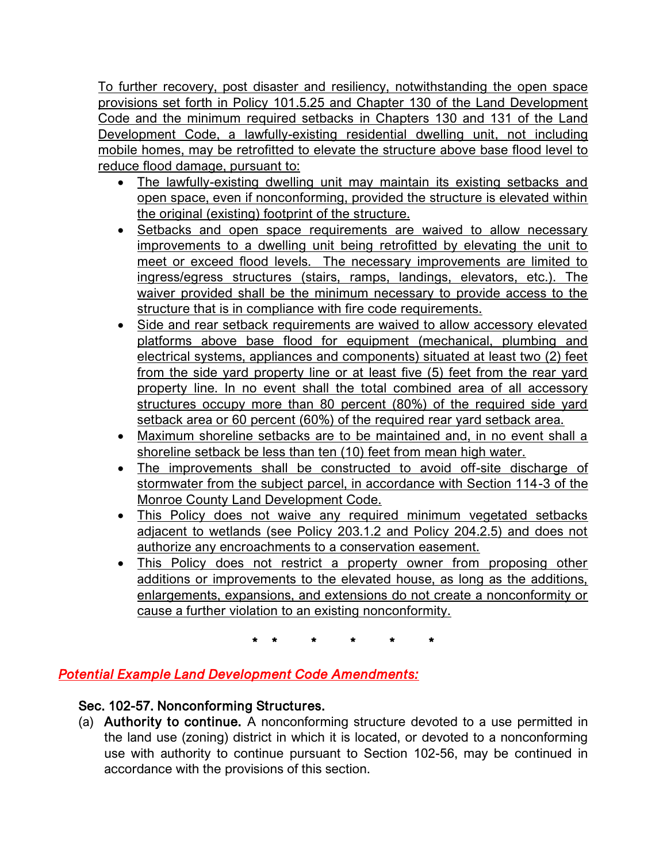To further recovery, post disaster and resiliency, notwithstanding the open space provisions set forth in Policy 101.5.25 and Chapter 130 of the Land Development Code and the minimum required setbacks in Chapters 130 and 131 of the Land Development Code, a lawfully-existing residential dwelling unit, not including mobile homes, may be retrofitted to elevate the structure above base flood level to reduce flood damage, pursuant to:

- The lawfully-existing dwelling unit may maintain its existing setbacks and open space, even if nonconforming, provided the structure is elevated within the original (existing) footprint of the structure.
- Setbacks and open space requirements are waived to allow necessary improvements to a dwelling unit being retrofitted by elevating the unit to meet or exceed flood levels. The necessary improvements are limited to ingress/egress structures (stairs, ramps, landings, elevators, etc.). The waiver provided shall be the minimum necessary to provide access to the structure that is in compliance with fire code requirements.
- Side and rear setback requirements are waived to allow accessory elevated platforms above base flood for equipment (mechanical, plumbing and electrical systems, appliances and components) situated at least two (2) feet from the side yard property line or at least five (5) feet from the rear yard property line. In no event shall the total combined area of all accessory structures occupy more than 80 percent (80%) of the required side yard setback area or 60 percent (60%) of the required rear yard setback area.
- Maximum shoreline setbacks are to be maintained and, in no event shall a shoreline setback be less than ten (10) feet from mean high water.
- The improvements shall be constructed to avoid off-site discharge of stormwater from the subject parcel, in accordance with Section 114-3 of the Monroe County Land Development Code.
- This Policy does not waive any required minimum vegetated setbacks adjacent to wetlands (see Policy 203.1.2 and Policy 204.2.5) and does not authorize any encroachments to a conservation easement.
- This Policy does not restrict a property owner from proposing other additions or improvements to the elevated house, as long as the additions, enlargements, expansions, and extensions do not create a nonconformity or cause a further violation to an existing nonconformity.

\* \* \* \* \* \*

## *Potential Example Land Development Code Amendments:*

## Sec. 102-57. Nonconforming Structures.

(a) Authority to continue. A nonconforming structure devoted to a use permitted in the land use (zoning) district in which it is located, or devoted to a nonconforming use with authority to continue pursuant to Section 102-56, may be continued in accordance with the provisions of this section.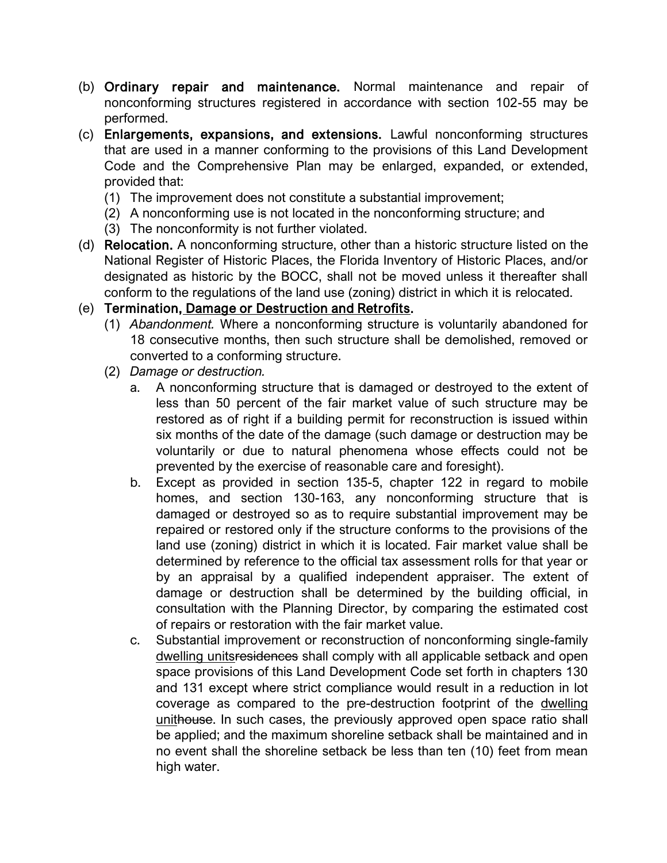- (b) Ordinary repair and maintenance. Normal maintenance and repair of nonconforming structures registered in accordance with section 102-55 may be performed.
- (c) Enlargements, expansions, and extensions. Lawful nonconforming structures that are used in a manner conforming to the provisions of this Land Development Code and the Comprehensive Plan may be enlarged, expanded, or extended, provided that:
	- (1) The improvement does not constitute a substantial improvement;
	- (2) A nonconforming use is not located in the nonconforming structure; and
	- (3) The nonconformity is not further violated.
- (d) Relocation. A nonconforming structure, other than a historic structure listed on the National Register of Historic Places, the Florida Inventory of Historic Places, and/or designated as historic by the BOCC, shall not be moved unless it thereafter shall conform to the regulations of the land use (zoning) district in which it is relocated.

## (e) Termination, Damage or Destruction and Retrofits.

- (1) *Abandonment.* Where a nonconforming structure is voluntarily abandoned for 18 consecutive months, then such structure shall be demolished, removed or converted to a conforming structure.
- (2) *Damage or destruction.*
	- a. A nonconforming structure that is damaged or destroyed to the extent of less than 50 percent of the fair market value of such structure may be restored as of right if a building permit for reconstruction is issued within six months of the date of the damage (such damage or destruction may be voluntarily or due to natural phenomena whose effects could not be prevented by the exercise of reasonable care and foresight).
	- b. Except as provided in section 135-5, chapter 122 in regard to mobile homes, and section 130-163, any nonconforming structure that is damaged or destroyed so as to require substantial improvement may be repaired or restored only if the structure conforms to the provisions of the land use (zoning) district in which it is located. Fair market value shall be determined by reference to the official tax assessment rolls for that year or by an appraisal by a qualified independent appraiser. The extent of damage or destruction shall be determined by the building official, in consultation with the Planning Director, by comparing the estimated cost of repairs or restoration with the fair market value.
	- c. Substantial improvement or reconstruction of nonconforming single-family dwelling unitsresidences shall comply with all applicable setback and open space provisions of this Land Development Code set forth in chapters 130 and 131 except where strict compliance would result in a reduction in lot coverage as compared to the pre-destruction footprint of the dwelling unithouse. In such cases, the previously approved open space ratio shall be applied; and the maximum shoreline setback shall be maintained and in no event shall the shoreline setback be less than ten (10) feet from mean high water.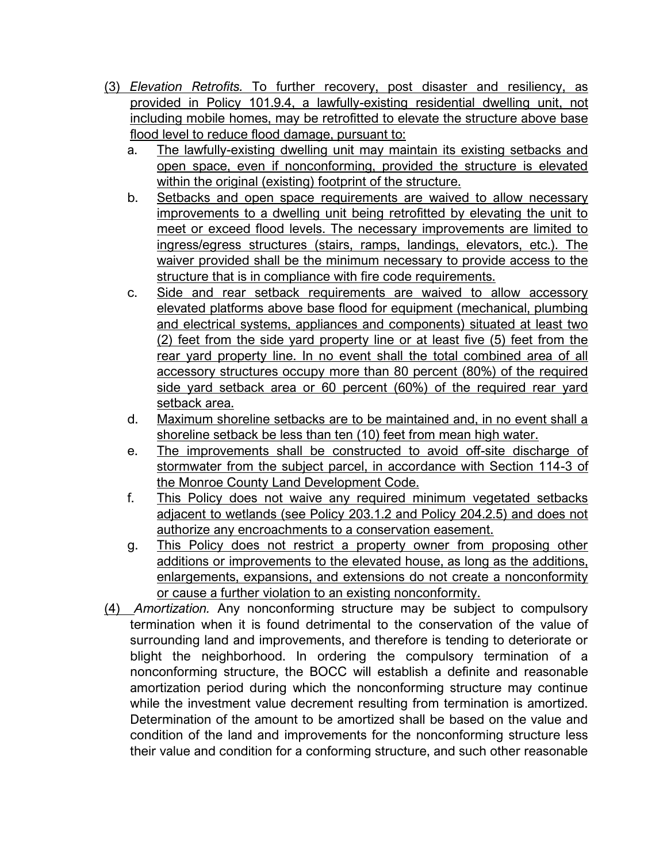- (3) *Elevation Retrofits.* To further recovery, post disaster and resiliency, as provided in Policy 101.9.4, a lawfully-existing residential dwelling unit, not including mobile homes, may be retrofitted to elevate the structure above base flood level to reduce flood damage, pursuant to:
	- a. The lawfully-existing dwelling unit may maintain its existing setbacks and open space, even if nonconforming, provided the structure is elevated within the original (existing) footprint of the structure.
	- b. Setbacks and open space requirements are waived to allow necessary improvements to a dwelling unit being retrofitted by elevating the unit to meet or exceed flood levels. The necessary improvements are limited to ingress/egress structures (stairs, ramps, landings, elevators, etc.). The waiver provided shall be the minimum necessary to provide access to the structure that is in compliance with fire code requirements.
	- c. Side and rear setback requirements are waived to allow accessory elevated platforms above base flood for equipment (mechanical, plumbing and electrical systems, appliances and components) situated at least two (2) feet from the side yard property line or at least five (5) feet from the rear yard property line. In no event shall the total combined area of all accessory structures occupy more than 80 percent (80%) of the required side yard setback area or 60 percent (60%) of the required rear yard setback area.
	- d. Maximum shoreline setbacks are to be maintained and, in no event shall a shoreline setback be less than ten (10) feet from mean high water.
	- e. The improvements shall be constructed to avoid off-site discharge of stormwater from the subject parcel, in accordance with Section 114-3 of the Monroe County Land Development Code.
	- f. This Policy does not waive any required minimum vegetated setbacks adjacent to wetlands (see Policy 203.1.2 and Policy 204.2.5) and does not authorize any encroachments to a conservation easement.
	- g. This Policy does not restrict a property owner from proposing other additions or improvements to the elevated house, as long as the additions, enlargements, expansions, and extensions do not create a nonconformity or cause a further violation to an existing nonconformity.
- (4) *Amortization.* Any nonconforming structure may be subject to compulsory termination when it is found detrimental to the conservation of the value of surrounding land and improvements, and therefore is tending to deteriorate or blight the neighborhood. In ordering the compulsory termination of a nonconforming structure, the BOCC will establish a definite and reasonable amortization period during which the nonconforming structure may continue while the investment value decrement resulting from termination is amortized. Determination of the amount to be amortized shall be based on the value and condition of the land and improvements for the nonconforming structure less their value and condition for a conforming structure, and such other reasonable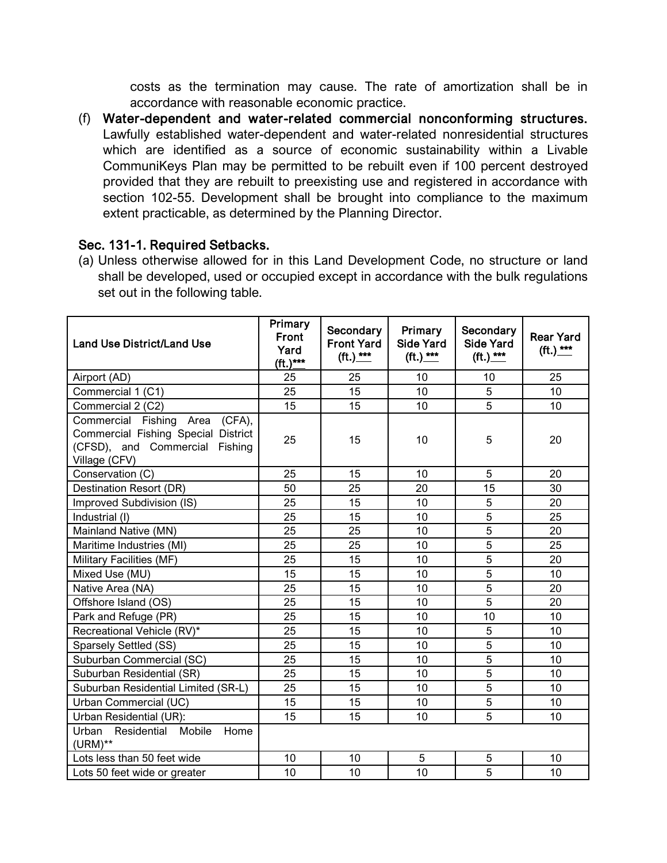costs as the termination may cause. The rate of amortization shall be in accordance with reasonable economic practice.

(f) Water-dependent and water-related commercial nonconforming structures. Lawfully established water-dependent and water-related nonresidential structures which are identified as a source of economic sustainability within a Livable CommuniKeys Plan may be permitted to be rebuilt even if 100 percent destroyed provided that they are rebuilt to preexisting use and registered in accordance with section 102-55. Development shall be brought into compliance to the maximum extent practicable, as determined by the Planning Director.

## Sec. 131-1. Required Setbacks.

(a) Unless otherwise allowed for in this Land Development Code, no structure or land shall be developed, used or occupied except in accordance with the bulk regulations set out in the following table.

| <b>Land Use District/Land Use</b>                                                                                              | Primary<br><b>Front</b><br>Yard<br>$({\sf ft.})^{***}$ | Secondary<br><b>Front Yard</b><br>$({\sf ft.})$ *** | Primary<br><b>Side Yard</b><br>$({\sf ft.})$ *** | Secondary<br><b>Side Yard</b><br>$({\sf ft.})$ *** | <b>Rear Yard</b><br>$({\sf ft.})$ *** |
|--------------------------------------------------------------------------------------------------------------------------------|--------------------------------------------------------|-----------------------------------------------------|--------------------------------------------------|----------------------------------------------------|---------------------------------------|
| Airport (AD)                                                                                                                   | 25                                                     | 25                                                  | 10                                               | 10                                                 | 25                                    |
| Commercial 1 (C1)                                                                                                              | 25                                                     | 15                                                  | 10                                               | 5                                                  | 10                                    |
| Commercial 2 (C2)                                                                                                              | 15                                                     | 15                                                  | 10                                               | $\overline{5}$                                     | 10                                    |
| Commercial Fishing Area<br>$(CFA)$ ,<br>Commercial Fishing Special District<br>(CFSD), and Commercial Fishing<br>Village (CFV) | 25                                                     | 15                                                  | 10                                               | 5                                                  | 20                                    |
| Conservation (C)                                                                                                               | 25                                                     | 15                                                  | 10                                               | 5                                                  | 20                                    |
| <b>Destination Resort (DR)</b>                                                                                                 | 50                                                     | 25                                                  | 20                                               | 15                                                 | 30                                    |
| Improved Subdivision (IS)                                                                                                      | 25                                                     | 15                                                  | 10                                               | 5                                                  | 20                                    |
| Industrial (I)                                                                                                                 | 25                                                     | 15                                                  | 10                                               | $\overline{5}$                                     | 25                                    |
| Mainland Native (MN)                                                                                                           | 25                                                     | 25                                                  | 10                                               | $\overline{5}$                                     | 20                                    |
| Maritime Industries (MI)                                                                                                       | 25                                                     | 25                                                  | 10                                               | 5                                                  | 25                                    |
| Military Facilities (MF)                                                                                                       | 25                                                     | 15                                                  | 10                                               | 5                                                  | 20                                    |
| Mixed Use (MU)                                                                                                                 | 15                                                     | 15                                                  | 10                                               | 5                                                  | 10                                    |
| Native Area (NA)                                                                                                               | 25                                                     | 15                                                  | 10                                               | $\overline{5}$                                     | 20                                    |
| Offshore Island (OS)                                                                                                           | 25                                                     | 15                                                  | 10                                               | $\overline{5}$                                     | 20                                    |
| Park and Refuge (PR)                                                                                                           | 25                                                     | 15                                                  | 10                                               | 10                                                 | 10                                    |
| Recreational Vehicle (RV)*                                                                                                     | 25                                                     | 15                                                  | 10                                               | 5                                                  | 10                                    |
| Sparsely Settled (SS)                                                                                                          | 25                                                     | 15                                                  | 10                                               | 5                                                  | 10                                    |
| Suburban Commercial (SC)                                                                                                       | 25                                                     | 15                                                  | 10                                               | $\overline{5}$                                     | 10                                    |
| Suburban Residential (SR)                                                                                                      | 25                                                     | 15                                                  | 10                                               | 5                                                  | 10                                    |
| Suburban Residential Limited (SR-L)                                                                                            | 25                                                     | 15                                                  | 10                                               | $\overline{5}$                                     | 10                                    |
| Urban Commercial (UC)                                                                                                          | 15                                                     | 15                                                  | 10                                               | $\overline{5}$                                     | 10                                    |
| Urban Residential (UR):                                                                                                        | 15                                                     | 15                                                  | 10                                               | $\overline{5}$                                     | 10                                    |
| Residential Mobile<br>Urban<br>Home<br>$(URM)$ **                                                                              |                                                        |                                                     |                                                  |                                                    |                                       |
| Lots less than 50 feet wide                                                                                                    | 10                                                     | 10                                                  | 5                                                | 5                                                  | 10                                    |
| Lots 50 feet wide or greater                                                                                                   | 10                                                     | 10                                                  | 10                                               | $\overline{5}$                                     | 10                                    |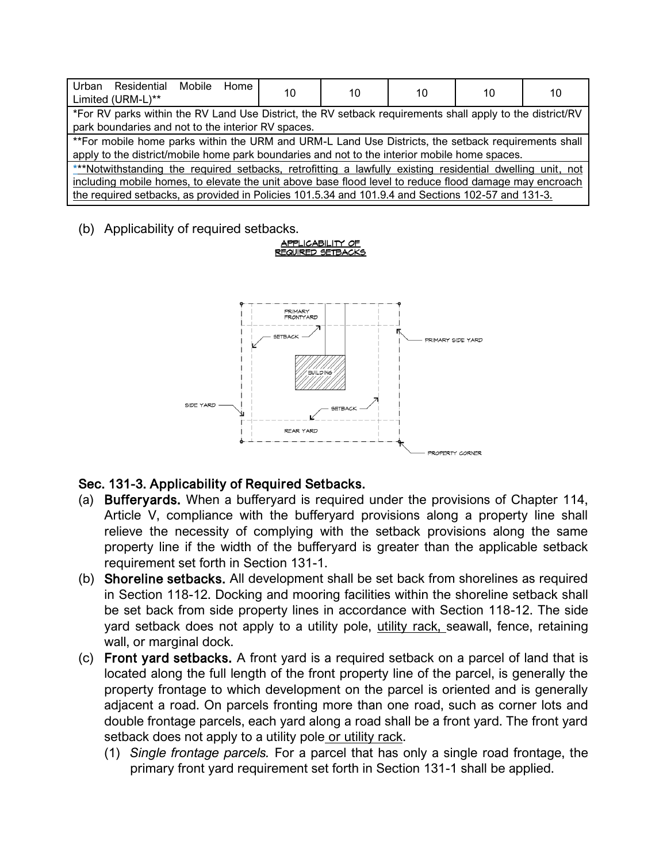| Urban<br>Residential Mobile<br>Home<br>Limited (URM-L)**                                                                                                                                                                                                                                                                  | 10 | 10 | 10 | 10 | 10 |
|---------------------------------------------------------------------------------------------------------------------------------------------------------------------------------------------------------------------------------------------------------------------------------------------------------------------------|----|----|----|----|----|
| *For RV parks within the RV Land Use District, the RV setback requirements shall apply to the district/RV<br>park boundaries and not to the interior RV spaces.                                                                                                                                                           |    |    |    |    |    |
| ** For mobile home parks within the URM and URM-L Land Use Districts, the setback requirements shall<br>apply to the district/mobile home park boundaries and not to the interior mobile home spaces.                                                                                                                     |    |    |    |    |    |
| ***Notwithstanding the required setbacks, retrofitting a lawfully existing residential dwelling unit, not<br>including mobile homes, to elevate the unit above base flood level to reduce flood damage may encroach<br>the required setbacks, as provided in Policies 101.5.34 and 101.9.4 and Sections 102-57 and 131-3. |    |    |    |    |    |

(b) Applicability of required setbacks.

#### <u>APPLICABILITY OF</u> **REQUIRED SETBACKS**



## Sec. 131-3. Applicability of Required Setbacks.

- (a) Bufferyards. When a bufferyard is required under the provisions of Chapter 114, Article V, compliance with the bufferyard provisions along a property line shall relieve the necessity of complying with the setback provisions along the same property line if the width of the bufferyard is greater than the applicable setback requirement set forth in Section 131-1.
- (b) Shoreline setbacks. All development shall be set back from shorelines as required in Section 118-12. Docking and mooring facilities within the shoreline setback shall be set back from side property lines in accordance with Section 118-12. The side yard setback does not apply to a utility pole, utility rack, seawall, fence, retaining wall, or marginal dock.
- (c) Front yard setbacks. A front yard is a required setback on a parcel of land that is located along the full length of the front property line of the parcel, is generally the property frontage to which development on the parcel is oriented and is generally adjacent a road. On parcels fronting more than one road, such as corner lots and double frontage parcels, each yard along a road shall be a front yard. The front yard setback does not apply to a utility pole or utility rack.
	- (1) *Single frontage parcels.* For a parcel that has only a single road frontage, the primary front yard requirement set forth in Section 131-1 shall be applied.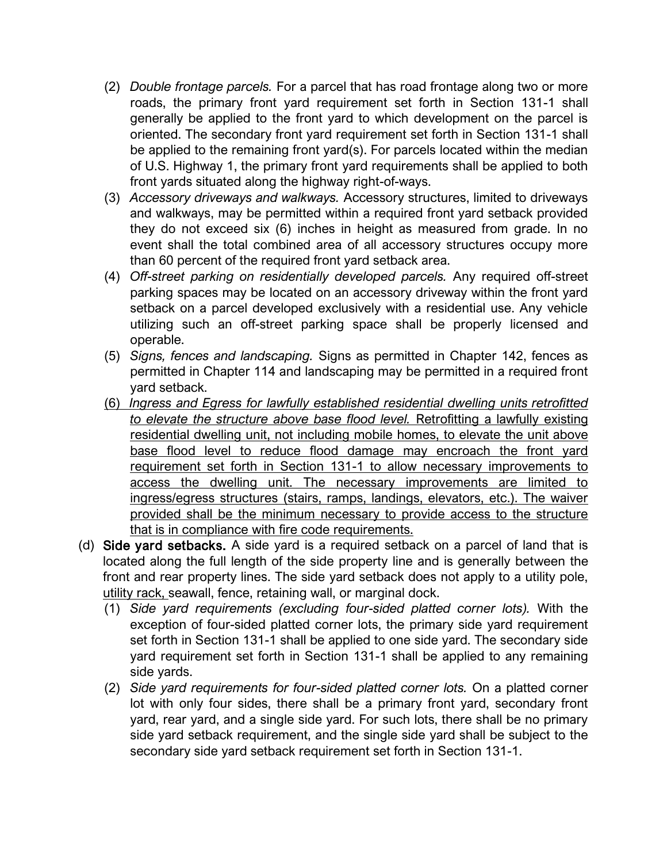- (2) *Double frontage parcels.* For a parcel that has road frontage along two or more roads, the primary front yard requirement set forth in Section 131-1 shall generally be applied to the front yard to which development on the parcel is oriented. The secondary front yard requirement set forth in Section 131-1 shall be applied to the remaining front yard(s). For parcels located within the median of U.S. Highway 1, the primary front yard requirements shall be applied to both front yards situated along the highway right-of-ways.
- (3) *Accessory driveways and walkways.* Accessory structures, limited to driveways and walkways, may be permitted within a required front yard setback provided they do not exceed six (6) inches in height as measured from grade. In no event shall the total combined area of all accessory structures occupy more than 60 percent of the required front yard setback area.
- (4) *Off-street parking on residentially developed parcels.* Any required off-street parking spaces may be located on an accessory driveway within the front yard setback on a parcel developed exclusively with a residential use. Any vehicle utilizing such an off-street parking space shall be properly licensed and operable.
- (5) *Signs, fences and landscaping.* Signs as permitted in Chapter 142, fences as permitted in Chapter 114 and landscaping may be permitted in a required front yard setback.
- (6) *Ingress and Egress for lawfully established residential dwelling units retrofitted to elevate the structure above base flood level.* Retrofitting a lawfully existing residential dwelling unit, not including mobile homes, to elevate the unit above base flood level to reduce flood damage may encroach the front yard requirement set forth in Section 131-1 to allow necessary improvements to access the dwelling unit. The necessary improvements are limited to ingress/egress structures (stairs, ramps, landings, elevators, etc.). The waiver provided shall be the minimum necessary to provide access to the structure that is in compliance with fire code requirements.
- (d) Side yard setbacks. A side yard is a required setback on a parcel of land that is located along the full length of the side property line and is generally between the front and rear property lines. The side yard setback does not apply to a utility pole, utility rack, seawall, fence, retaining wall, or marginal dock.
	- (1) *Side yard requirements (excluding four-sided platted corner lots).* With the exception of four-sided platted corner lots, the primary side yard requirement set forth in Section 131-1 shall be applied to one side yard. The secondary side yard requirement set forth in Section 131-1 shall be applied to any remaining side yards.
	- (2) *Side yard requirements for four-sided platted corner lots.* On a platted corner lot with only four sides, there shall be a primary front yard, secondary front yard, rear yard, and a single side yard. For such lots, there shall be no primary side yard setback requirement, and the single side yard shall be subject to the secondary side yard setback requirement set forth in Section 131-1.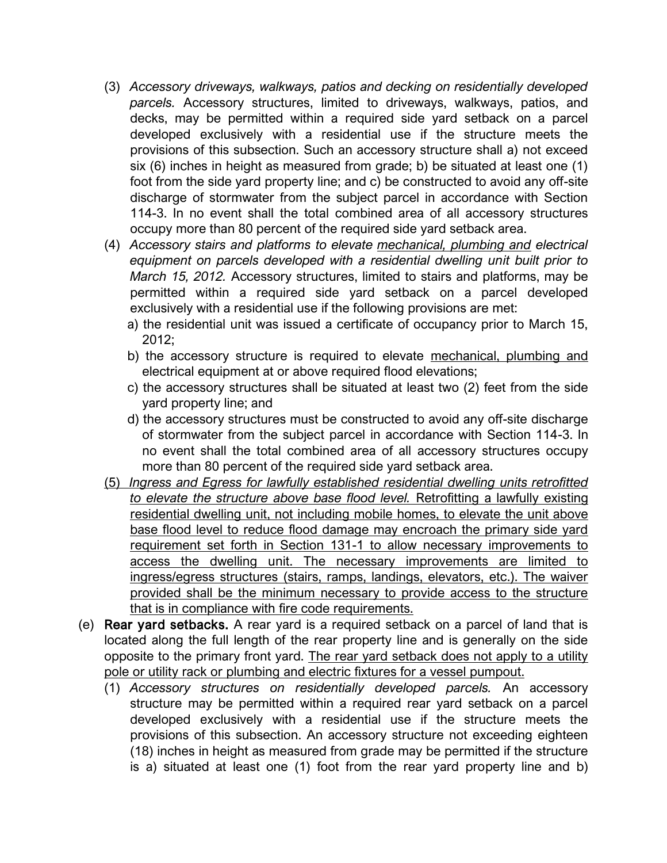- (3) *Accessory driveways, walkways, patios and decking on residentially developed parcels.* Accessory structures, limited to driveways, walkways, patios, and decks, may be permitted within a required side yard setback on a parcel developed exclusively with a residential use if the structure meets the provisions of this subsection. Such an accessory structure shall a) not exceed six (6) inches in height as measured from grade; b) be situated at least one (1) foot from the side yard property line; and c) be constructed to avoid any off-site discharge of stormwater from the subject parcel in accordance with Section 114-3. In no event shall the total combined area of all accessory structures occupy more than 80 percent of the required side yard setback area.
- (4) *Accessory stairs and platforms to elevate mechanical, plumbing and electrical equipment on parcels developed with a residential dwelling unit built prior to March 15, 2012.* Accessory structures, limited to stairs and platforms, may be permitted within a required side yard setback on a parcel developed exclusively with a residential use if the following provisions are met:
	- a) the residential unit was issued a certificate of occupancy prior to March 15, 2012;
	- b) the accessory structure is required to elevate mechanical, plumbing and electrical equipment at or above required flood elevations;
	- c) the accessory structures shall be situated at least two (2) feet from the side yard property line; and
	- d) the accessory structures must be constructed to avoid any off-site discharge of stormwater from the subject parcel in accordance with Section 114-3. In no event shall the total combined area of all accessory structures occupy more than 80 percent of the required side yard setback area.
- (5) *Ingress and Egress for lawfully established residential dwelling units retrofitted to elevate the structure above base flood level.* Retrofitting a lawfully existing residential dwelling unit, not including mobile homes, to elevate the unit above base flood level to reduce flood damage may encroach the primary side yard requirement set forth in Section 131-1 to allow necessary improvements to access the dwelling unit. The necessary improvements are limited to ingress/egress structures (stairs, ramps, landings, elevators, etc.). The waiver provided shall be the minimum necessary to provide access to the structure that is in compliance with fire code requirements.
- (e) Rear yard setbacks. A rear yard is a required setback on a parcel of land that is located along the full length of the rear property line and is generally on the side opposite to the primary front yard. The rear yard setback does not apply to a utility pole or utility rack or plumbing and electric fixtures for a vessel pumpout.
	- (1) *Accessory structures on residentially developed parcels.* An accessory structure may be permitted within a required rear yard setback on a parcel developed exclusively with a residential use if the structure meets the provisions of this subsection. An accessory structure not exceeding eighteen (18) inches in height as measured from grade may be permitted if the structure is a) situated at least one (1) foot from the rear yard property line and b)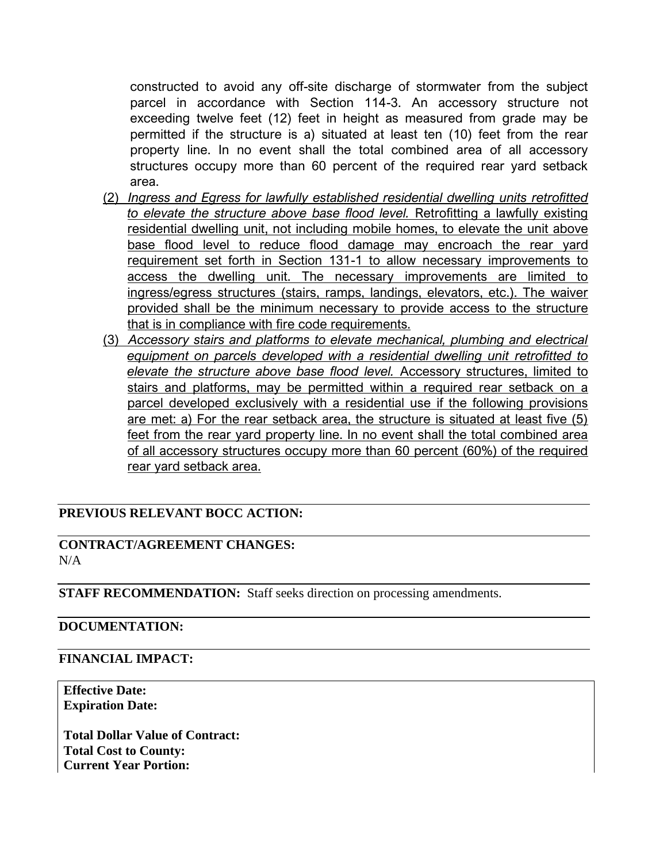constructed to avoid any off-site discharge of stormwater from the subject parcel in accordance with Section 114-3. An accessory structure not exceeding twelve feet (12) feet in height as measured from grade may be permitted if the structure is a) situated at least ten (10) feet from the rear property line. In no event shall the total combined area of all accessory structures occupy more than 60 percent of the required rear yard setback area.

- (2) *Ingress and Egress for lawfully established residential dwelling units retrofitted to elevate the structure above base flood level.* Retrofitting a lawfully existing residential dwelling unit, not including mobile homes, to elevate the unit above base flood level to reduce flood damage may encroach the rear yard requirement set forth in Section 131-1 to allow necessary improvements to access the dwelling unit. The necessary improvements are limited to ingress/egress structures (stairs, ramps, landings, elevators, etc.). The waiver provided shall be the minimum necessary to provide access to the structure that is in compliance with fire code requirements.
- (3) *Accessory stairs and platforms to elevate mechanical, plumbing and electrical equipment on parcels developed with a residential dwelling unit retrofitted to elevate the structure above base flood level.* Accessory structures, limited to stairs and platforms, may be permitted within a required rear setback on a parcel developed exclusively with a residential use if the following provisions are met: a) For the rear setback area, the structure is situated at least five (5) feet from the rear yard property line. In no event shall the total combined area of all accessory structures occupy more than 60 percent (60%) of the required rear yard setback area.

## **PREVIOUS RELEVANT BOCC ACTION:**

## **CONTRACT/AGREEMENT CHANGES:**  $N/A$

**STAFF RECOMMENDATION:** Staff seeks direction on processing amendments.

## **DOCUMENTATION:**

#### **FINANCIAL IMPACT:**

**Effective Date: Expiration Date:** 

**Total Dollar Value of Contract: Total Cost to County: Current Year Portion:**